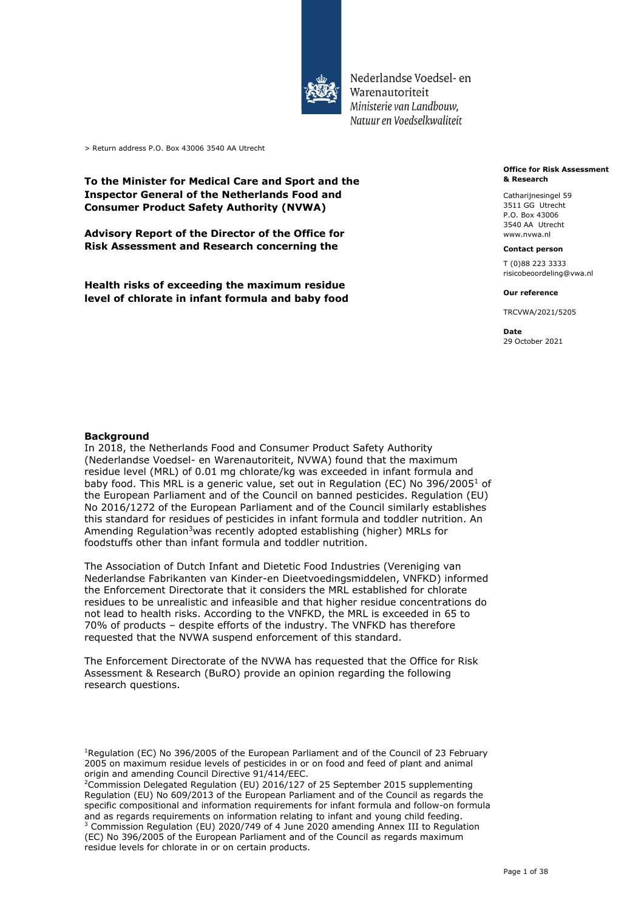

Nederlandse Voedsel- en Warenautoriteit Ministerie *van Landbouw, Natuur en Voedselkwaliteit* 

> Return address P.O. Box 43006 3540 AA Utrecht

## **To the Minister for Medical Care and Sport and the Inspector General of the Netherlands Food and Consumer Product Safety Authority (NVWA)**

 **Advisory Report of the Director of the Office for Risk Assessment and Research concerning the** 

 **Health risks of exceeding the maximum residue level of chlorate in infant formula and baby food** 

#### **Office for Risk Assessment & Research**

Catharijnesingel 59 3511 GG Utrecht P.O. Box 43006 3540 AA Utrecht <www.nvwa.nl>

#### **Contact person**

T (0)88 223 3333 [risicobeoordeling@vwa.nl](mailto:risicobeoordeling@vwa.nl)

#### **Our reference**

TRCVWA/2021/5205

**Date**  29 October 2021

#### **Background**

 In 2018, the Netherlands Food and Consumer Product Safety Authority (Nederlandse Voedsel- en Warenautoriteit, NVWA) found that the maximum residue level (MRL) of 0.01 mg chlorate/kg was exceeded in infant formula and baby food. This MRL is a generic value, set out in Regulation (EC) No 396/2005<sup>1</sup> of the European Parliament and of the Council on banned pesticides. Regulation (EU) No 2016/1272 of the European Parliament and of the Council similarly establishes this standard for residues of pesticides in infant formula and toddler nutrition. An Amending Regulation<sup>3</sup>was recently adopted establishing (higher) MRLs for foodstuffs other than infant formula and toddler nutrition.

 The Association of Dutch Infant and Dietetic Food Industries (Vereniging van Nederlandse Fabrikanten van Kinder-en Dieetvoedingsmiddelen, VNFKD) informed the Enforcement Directorate that it considers the MRL established for chlorate residues to be unrealistic and infeasible and that higher residue concentrations do not lead to health risks. According to the VNFKD, the MRL is exceeded in 65 to 70% of products – despite efforts of the industry. The VNFKD has therefore requested that the NVWA suspend enforcement of this standard.

 The Enforcement Directorate of the NVWA has requested that the Office for Risk Assessment & Research (BuRO) provide an opinion regarding the following research questions.

<sup>1</sup>Regulation (EC) No [396/2005](https://eur-lex.europa.eu/legal-content/NL/AUTO/?uri=celex:32005R0396) of the European Parliament and of the Council of 23 February 2005 on maximum residue levels of pesticides in or on food and feed of plant and animal origin and amending Council Directive 91/414/EEC.

origin and amending Council Directive 91/414/EEC.<br><sup>2</sup>Commission Delegated Regulation (EU) 2016/127 of 25 September 2015 supplementing Regulation (EU) No 609/2013 of the European Parliament and of the Council as regards the specific compositional and information requirements for infant formula and follow-on formula and as regards requirements on information relating to infant and young child feeding.  $3$  Commission Regulation (EU) 2020/749 of 4 June 2020 amending Annex III to Regulation (EC) No 396/2005 of the European Parliament and of the Council as regards maximum residue levels for chlorate in or on certain products.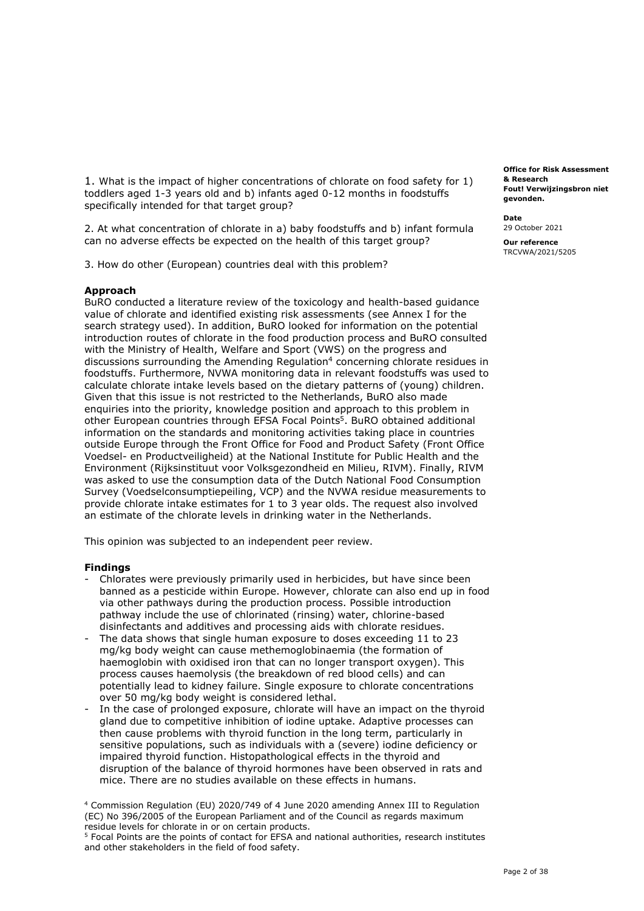toddlers aged 1-3 years old and b) infants aged 0-12 months in foodstuffs specifically intended for that target group? 1. What is the impact of higher concentrations of chlorate on food safety for 1)

 2. At what concentration of chlorate in a) baby foodstuffs and b) infant formula can no adverse effects be expected on the health of this target group?

3. How do other (European) countries deal with this problem?

#### **Approach**

 BuRO conducted a literature review of the toxicology and health-based guidance value of chlorate and identified existing risk assessments (see Annex I for the search strategy used). In addition, BuRO looked for information on the potential introduction routes of chlorate in the food production process and BuRO consulted with the Ministry of Health, Welfare and Sport (VWS) on the progress and discussions surrounding the Amending Regulation<sup>4</sup> concerning chlorate residues in foodstuffs. Furthermore, NVWA monitoring data in relevant foodstuffs was used to calculate chlorate intake levels based on the dietary patterns of (young) children. Given that this issue is not restricted to the Netherlands, BuRO also made enquiries into the priority, knowledge position and approach to this problem in other European countries through EFSA Focal Points<sup>5</sup>. BuRO obtained additional information on the standards and monitoring activities taking place in countries outside Europe through the Front Office for Food and Product Safety (Front Office Voedsel- en Productveiligheid) at the National Institute for Public Health and the Environment (Rijksinstituut voor Volksgezondheid en Milieu, RIVM). Finally, RIVM was asked to use the consumption data of the Dutch National Food Consumption Survey (Voedselconsumptiepeiling, VCP) and the NVWA residue measurements to provide chlorate intake estimates for 1 to 3 year olds. The request also involved an estimate of the chlorate levels in drinking water in the Netherlands.

This opinion was subjected to an independent peer review.

#### **Findings**

- - Chlorates were previously primarily used in herbicides, but have since been banned as a pesticide within Europe. However, chlorate can also end up in food via other pathways during the production process. Possible introduction pathway include the use of chlorinated (rinsing) water, chlorine-based disinfectants and additives and processing aids with chlorate residues.
- - The data shows that single human exposure to doses exceeding 11 to 23 mg/kg body weight can cause methemoglobinaemia (the formation of haemoglobin with oxidised iron that can no longer transport oxygen). This process causes haemolysis (the breakdown of red blood cells) and can potentially lead to kidney failure. Single exposure to chlorate concentrations over 50 mg/kg body weight is considered lethal.
- - In the case of prolonged exposure, chlorate will have an impact on the thyroid gland due to competitive inhibition of iodine uptake. Adaptive processes can then cause problems with thyroid function in the long term, particularly in sensitive populations, such as individuals with a (severe) iodine deficiency or impaired thyroid function. Histopathological effects in the thyroid and disruption of the balance of thyroid hormones have been observed in rats and mice. There are no studies available on these effects in humans.

 4 Commission Regulation (EU) 2020/749 of 4 June 2020 amending Annex III to Regulation (EC) No 396/2005 of the European Parliament and of the Council as regards maximum residue levels for chlorate in or on certain products.

<sup>5</sup> Focal Points are the points of contact for EFSA and national authorities, research institutes and other stakeholders in the field of food safety.

 **Fout! Verwijzingsbron niet Office for Risk Assessment & Research gevonden.** 

**Date**  29 October 2021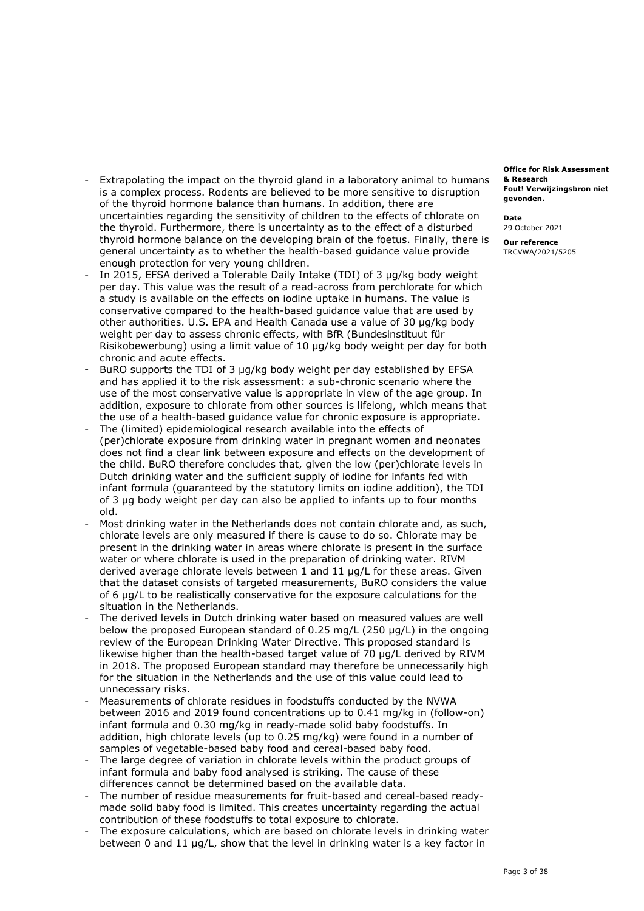- - Extrapolating the impact on the thyroid gland in a laboratory animal to humans is a complex process. Rodents are believed to be more sensitive to disruption of the thyroid hormone balance than humans. In addition, there are uncertainties regarding the sensitivity of children to the effects of chlorate on the thyroid. Furthermore, there is uncertainty as to the effect of a disturbed thyroid hormone balance on the developing brain of the foetus. Finally, there is general uncertainty as to whether the health-based guidance value provide enough protection for very young children.
- - In 2015, EFSA derived a Tolerable Daily Intake (TDI) of 3 µg/kg body weight per day. This value was the result of a read-across from perchlorate for which a study is available on the effects on iodine uptake in humans. The value is conservative compared to the health-based guidance value that are used by other authorities. U.S. EPA and Health Canada use a value of 30 µg/kg body weight per day to assess chronic effects, with BfR (Bundesinstituut für Risikobewerbung) using a limit value of 10 µg/kg body weight per day for both chronic and acute effects.
- - BuRO supports the TDI of 3 µg/kg body weight per day established by EFSA and has applied it to the risk assessment: a sub-chronic scenario where the use of the most conservative value is appropriate in view of the age group. In addition, exposure to chlorate from other sources is lifelong, which means that the use of a health-based guidance value for chronic exposure is appropriate.
- - The (limited) epidemiological research available into the effects of (per)chlorate exposure from drinking water in pregnant women and neonates does not find a clear link between exposure and effects on the development of the child. BuRO therefore concludes that, given the low (per)chlorate levels in Dutch drinking water and the sufficient supply of iodine for infants fed with infant formula (guaranteed by the statutory limits on iodine addition), the TDI of 3 µg body weight per day can also be applied to infants up to four months old.
- - Most drinking water in the Netherlands does not contain chlorate and, as such, chlorate levels are only measured if there is cause to do so. Chlorate may be present in the drinking water in areas where chlorate is present in the surface water or where chlorate is used in the preparation of drinking water. RIVM derived average chlorate levels between 1 and 11 µg/L for these areas. Given that the dataset consists of targeted measurements, BuRO considers the value of 6 µg/L to be realistically conservative for the exposure calculations for the situation in the Netherlands.
- - The derived levels in Dutch drinking water based on measured values are well below the proposed European standard of 0.25 mg/L (250 µg/L) in the ongoing review of the European Drinking Water Directive. This proposed standard is likewise higher than the health-based target value of 70 µg/L derived by RIVM in 2018. The proposed European standard may therefore be unnecessarily high for the situation in the Netherlands and the use of this value could lead to unnecessary risks.
- - Measurements of chlorate residues in foodstuffs conducted by the NVWA between 2016 and 2019 found concentrations up to 0.41 mg/kg in (follow-on) infant formula and 0.30 mg/kg in ready-made solid baby foodstuffs. In addition, high chlorate levels (up to 0.25 mg/kg) were found in a number of samples of vegetable-based baby food and cereal-based baby food.
- - The large degree of variation in chlorate levels within the product groups of infant formula and baby food analysed is striking. The cause of these differences cannot be determined based on the available data.
- - The number of residue measurements for fruit-based and cereal-based ready- made solid baby food is limited. This creates uncertainty regarding the actual contribution of these foodstuffs to total exposure to chlorate.
- - The exposure calculations, which are based on chlorate levels in drinking water between 0 and 11 µg/L, show that the level in drinking water is a key factor in

 **Fout! Verwijzingsbron niet Office for Risk Assessment & Research gevonden.** 

**Date** 

29 October 2021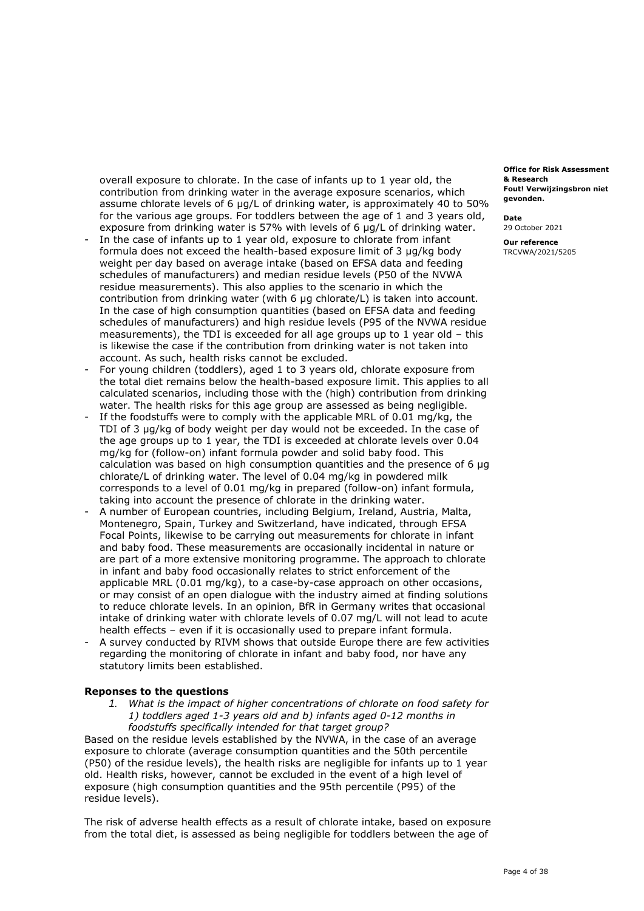overall exposure to chlorate. In the case of infants up to 1 year old, the contribution from drinking water in the average exposure scenarios, which assume chlorate levels of 6 µg/L of drinking water, is approximately 40 to 50% for the various age groups. For toddlers between the age of 1 and 3 years old, exposure from drinking water is 57% with levels of 6 µg/L of drinking water.

- - In the case of infants up to 1 year old, exposure to chlorate from infant formula does not exceed the health-based exposure limit of 3 µg/kg body weight per day based on average intake (based on EFSA data and feeding schedules of manufacturers) and median residue levels (P50 of the NVWA residue measurements). This also applies to the scenario in which the contribution from drinking water (with 6 µg chlorate/L) is taken into account. In the case of high consumption quantities (based on EFSA data and feeding schedules of manufacturers) and high residue levels (P95 of the NVWA residue measurements), the TDI is exceeded for all age groups up to 1 year old – this is likewise the case if the contribution from drinking water is not taken into account. As such, health risks cannot be excluded.
- - For young children (toddlers), aged 1 to 3 years old, chlorate exposure from the total diet remains below the health-based exposure limit. This applies to all calculated scenarios, including those with the (high) contribution from drinking water. The health risks for this age group are assessed as being negligible.
- - If the foodstuffs were to comply with the applicable MRL of 0.01 mg/kg, the TDI of 3 µg/kg of body weight per day would not be exceeded. In the case of the age groups up to 1 year, the TDI is exceeded at chlorate levels over 0.04 mg/kg for (follow-on) infant formula powder and solid baby food. This calculation was based on high consumption quantities and the presence of 6 µg chlorate/L of drinking water. The level of 0.04 mg/kg in powdered milk corresponds to a level of 0.01 mg/kg in prepared (follow-on) infant formula, taking into account the presence of chlorate in the drinking water.
- - A number of European countries, including Belgium, Ireland, Austria, Malta, Montenegro, Spain, Turkey and Switzerland, have indicated, through EFSA Focal Points, likewise to be carrying out measurements for chlorate in infant and baby food. These measurements are occasionally incidental in nature or are part of a more extensive monitoring programme. The approach to chlorate in infant and baby food occasionally relates to strict enforcement of the applicable MRL (0.01 mg/kg), to a case-by-case approach on other occasions, or may consist of an open dialogue with the industry aimed at finding solutions to reduce chlorate levels. In an opinion, BfR in Germany writes that occasional intake of drinking water with chlorate levels of 0.07 mg/L will not lead to acute health effects – even if it is occasionally used to prepare infant formula.
- - A survey conducted by RIVM shows that outside Europe there are few activities regarding the monitoring of chlorate in infant and baby food, nor have any statutory limits been established.

#### **Reponses to the questions**

 *1. What is the impact of higher concentrations of chlorate on food safety for 1) toddlers aged 1-3 years old and b) infants aged 0-12 months in foodstuffs specifically intended for that target group?* 

 Based on the residue levels established by the NVWA, in the case of an average exposure to chlorate (average consumption quantities and the 50th percentile (P50) of the residue levels), the health risks are negligible for infants up to 1 year old. Health risks, however, cannot be excluded in the event of a high level of exposure (high consumption quantities and the 95th percentile (P95) of the residue levels).

 The risk of adverse health effects as a result of chlorate intake, based on exposure from the total diet, is assessed as being negligible for toddlers between the age of

 **Fout! Verwijzingsbron niet Office for Risk Assessment & Research gevonden.** 

**Date** 

29 October 2021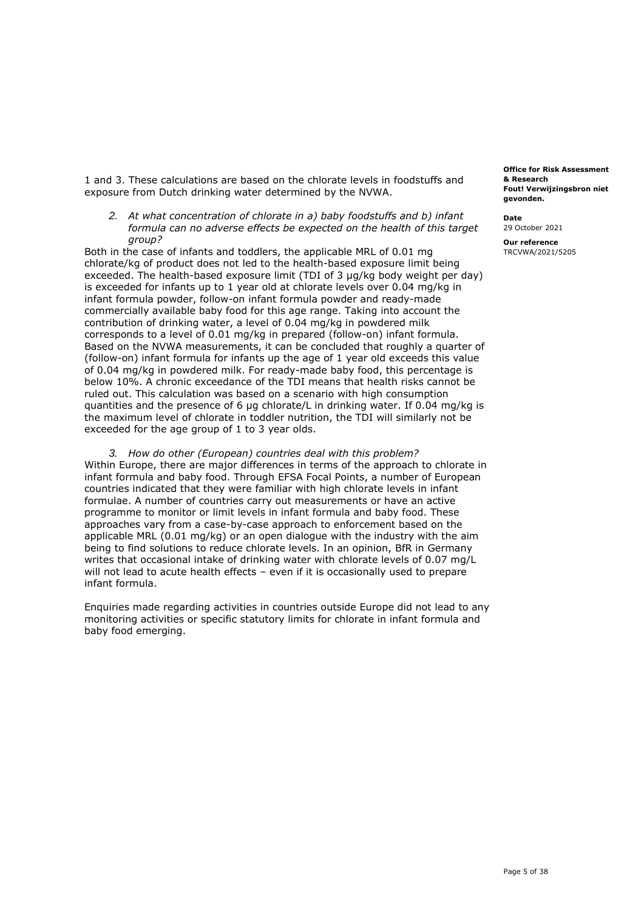1 and 3. These calculations are based on the chlorate levels in foodstuffs and exposure from Dutch drinking water determined by the NVWA.

 *2. At what concentration of chlorate in a) baby foodstuffs and b) infant formula can no adverse effects be expected on the health of this target group?* 

 Both in the case of infants and toddlers, the applicable MRL of 0.01 mg chlorate/kg of product does not led to the health-based exposure limit being exceeded. The health-based exposure limit (TDI of 3 µg/kg body weight per day) is exceeded for infants up to 1 year old at chlorate levels over 0.04 mg/kg in infant formula powder, follow-on infant formula powder and ready-made commercially available baby food for this age range. Taking into account the contribution of drinking water, a level of 0.04 mg/kg in powdered milk corresponds to a level of 0.01 mg/kg in prepared (follow-on) infant formula. Based on the NVWA measurements, it can be concluded that roughly a quarter of (follow-on) infant formula for infants up the age of 1 year old exceeds this value of 0.04 mg/kg in powdered milk. For ready-made baby food, this percentage is below 10%. A chronic exceedance of the TDI means that health risks cannot be ruled out. This calculation was based on a scenario with high consumption quantities and the presence of 6 µg chlorate/L in drinking water. If 0.04 mg/kg is the maximum level of chlorate in toddler nutrition, the TDI will similarly not be exceeded for the age group of 1 to 3 year olds.

 *3. How do other (European) countries deal with this problem?*  Within Europe, there are major differences in terms of the approach to chlorate in infant formula and baby food. Through EFSA Focal Points, a number of European countries indicated that they were familiar with high chlorate levels in infant formulae. A number of countries carry out measurements or have an active programme to monitor or limit levels in infant formula and baby food. These approaches vary from a case-by-case approach to enforcement based on the applicable MRL (0.01 mg/kg) or an open dialogue with the industry with the aim being to find solutions to reduce chlorate levels. In an opinion, BfR in Germany writes that occasional intake of drinking water with chlorate levels of 0.07 mg/L will not lead to acute health effects – even if it is occasionally used to prepare infant formula.

 Enquiries made regarding activities in countries outside Europe did not lead to any monitoring activities or specific statutory limits for chlorate in infant formula and baby food emerging.

 **Fout! Verwijzingsbron niet Office for Risk Assessment & Research gevonden.** 

**Date**  29 October 2021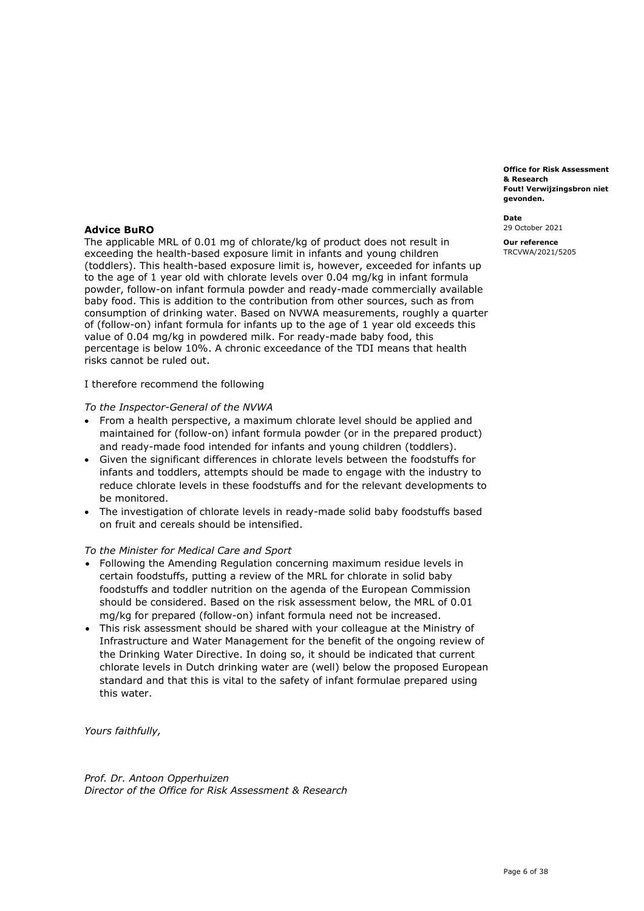**Fout! Verwijzingsbron niet Office for Risk Assessment & Research gevonden.** 

**Date**  29 October 2021

**Our reference**  TRCVWA/2021/5205

## **Advice BuRO**

 The applicable MRL of 0.01 mg of chlorate/kg of product does not result in exceeding the health-based exposure limit in infants and young children (toddlers). This health-based exposure limit is, however, exceeded for infants up to the age of 1 year old with chlorate levels over 0.04 mg/kg in infant formula powder, follow-on infant formula powder and ready-made commercially available baby food. This is addition to the contribution from other sources, such as from consumption of drinking water. Based on NVWA measurements, roughly a quarter of (follow-on) infant formula for infants up to the age of 1 year old exceeds this value of 0.04 mg/kg in powdered milk. For ready-made baby food, this percentage is below 10%. A chronic exceedance of the TDI means that health risks cannot be ruled out.

I therefore recommend the following

## *To the Inspector-General of the NVWA*

- • From a health perspective, a maximum chlorate level should be applied and maintained for (follow-on) infant formula powder (or in the prepared product) and ready-made food intended for infants and young children (toddlers).
- • Given the significant differences in chlorate levels between the foodstuffs for infants and toddlers, attempts should be made to engage with the industry to reduce chlorate levels in these foodstuffs and for the relevant developments to be monitored.
- • The investigation of chlorate levels in ready-made solid baby foodstuffs based on fruit and cereals should be intensified.

#### *To the Minister for Medical Care and Sport*

- • Following the Amending Regulation concerning maximum residue levels in certain foodstuffs, putting a review of the MRL for chlorate in solid baby foodstuffs and toddler nutrition on the agenda of the European Commission should be considered. Based on the risk assessment below, the MRL of 0.01 mg/kg for prepared (follow-on) infant formula need not be increased.
- • This risk assessment should be shared with your colleague at the Ministry of Infrastructure and Water Management for the benefit of the ongoing review of the Drinking Water Directive. In doing so, it should be indicated that current chlorate levels in Dutch drinking water are (well) below the proposed European standard and that this is vital to the safety of infant formulae prepared using this water.

*Yours faithfully,* 

 *Prof. Dr. Antoon Opperhuizen Director of the Office for Risk Assessment & Research*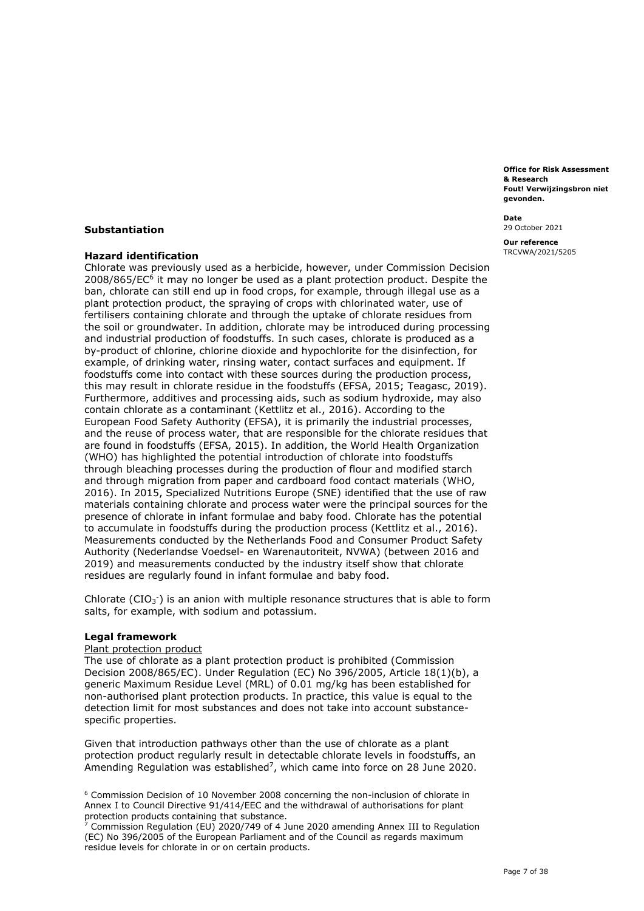**Fout! Verwijzingsbron niet Office for Risk Assessment & Research gevonden.** 

**Date**  29 October 2021

**Our reference**  TRCVWA/2021/5205

## **Substantiation**

## **Hazard identification**

 Chlorate was previously used as a herbicide, however, under Commission Decision 2008/865/EC<sup>6</sup> it may no longer be used as a plant protection product. Despite the ban, chlorate can still end up in food crops, for example, through illegal use as a plant protection product, the spraying of crops with chlorinated water, use of fertilisers containing chlorate and through the uptake of chlorate residues from the soil or groundwater. In addition, chlorate may be introduced during processing and industrial production of foodstuffs. In such cases, chlorate is produced as a by-product of chlorine, chlorine dioxide and hypochlorite for the disinfection, for example, of drinking water, rinsing water, contact surfaces and equipment. If foodstuffs come into contact with these sources during the production process, this may result in chlorate residue in the foodstuffs (EFSA, 2015; Teagasc, 2019). Furthermore, additives and processing aids, such as sodium hydroxide, may also contain chlorate as a contaminant (Kettlitz et al., 2016). According to the European Food Safety Authority (EFSA), it is primarily the industrial processes, and the reuse of process water, that are responsible for the chlorate residues that are found in foodstuffs (EFSA, 2015). In addition, the World Health Organization (WHO) has highlighted the potential introduction of chlorate into foodstuffs through bleaching processes during the production of flour and modified starch and through migration from paper and cardboard food contact materials (WHO, 2016). In 2015, Specialized Nutritions Europe (SNE) identified that the use of raw materials containing chlorate and process water were the principal sources for the presence of chlorate in infant formulae and baby food. Chlorate has the potential to accumulate in foodstuffs during the production process (Kettlitz et al., 2016). Measurements conducted by the Netherlands Food and Consumer Product Safety Authority (Nederlandse Voedsel- en Warenautoriteit, NVWA) (between 2016 and 2019) and measurements conducted by the industry itself show that chlorate residues are regularly found in infant formulae and baby food.

Chlorate (CIO<sub>3</sub><sup>-</sup>) is an anion with multiple resonance structures that is able to form salts, for example, with sodium and potassium.

#### **Legal framework**

#### Plant protection product

 The use of chlorate as a plant protection product is prohibited (Commission Decision 2008/865/EC). Under Regulation (EC) No 396/2005, Article 18(1)(b), a generic Maximum Residue Level (MRL) of 0.01 mg/kg has been established for non-authorised plant protection products. In practice, this value is equal to the detection limit for most substances and does not take into account substancespecific properties.

 Given that introduction pathways other than the use of chlorate as a plant protection product regularly result in detectable chlorate levels in foodstuffs, an Amending Regulation was established<sup>7</sup>, which came into force on 28 June 2020.

 $6$  Commission Decision of 10 November 2008 concerning the non-inclusion of chlorate in Annex I to Council Directive 91/414/EEC and the withdrawal of authorisations for plant protection products containing that substance.

 (EC) No 396/2005 of the European Parliament and of the Council as regards maximum residue levels for chlorate in or on certain products. <sup>7</sup> Commission Regulation (EU) 2020/749 of 4 June 2020 amending Annex III to Regulation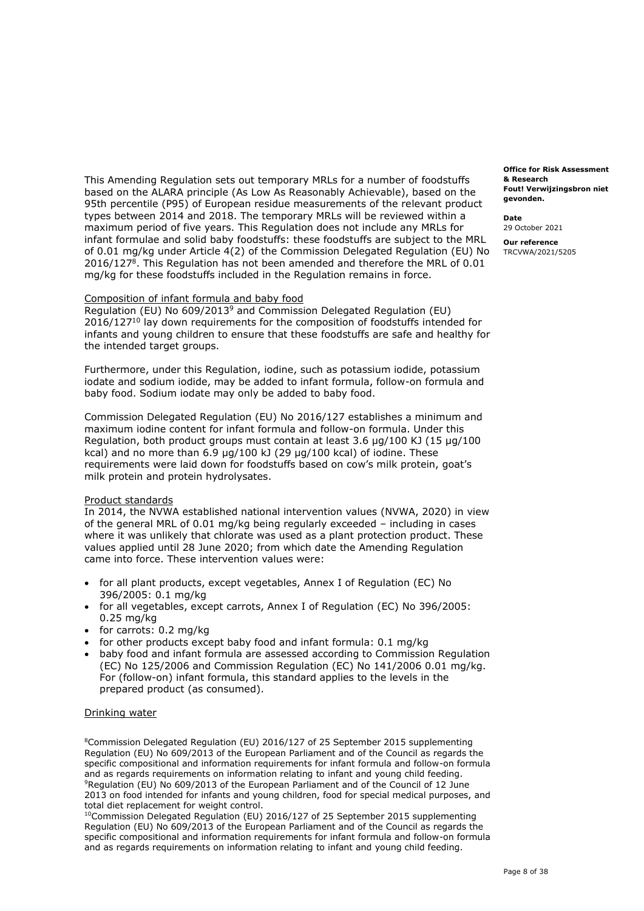This Amending Regulation sets out temporary MRLs for a number of foodstuffs **& Research**  based on the ALARA principle (As Low As Reasonably Achievable), based on the 95th percentile (P95) of European residue measurements of the relevant product types between 2014 and 2018. The temporary MRLs will be reviewed within a **Date**  maximum period of five years. This Regulation does not include any MRLs for 29 October 2021 infant formulae and solid baby foodstuffs: these foodstuffs are subject to the MRL **our reference**  of 0.01 mg/kg under Article 4(2) of the Commission Delegated Regulation (EU) No TRCVWA/2021/5205 2016/127<sup>8</sup>. This Regulation has not been amended and therefore the MRL of 0.01 mg/kg for these foodstuffs included in the Regulation remains in force.

#### Composition of infant formula and baby food

 Regulation (EU) No 609/20139 and Commission Delegated Regulation (EU) 2016/127<sup>10</sup> lay down requirements for the composition of foodstuffs intended for infants and young children to ensure that these foodstuffs are safe and healthy for the intended target groups.

 Furthermore, under this Regulation, iodine, such as potassium iodide, potassium iodate and sodium iodide, may be added to infant formula, follow-on formula and baby food. Sodium iodate may only be added to baby food.

 Commission Delegated Regulation (EU) No 2016/127 establishes a minimum and maximum iodine content for infant formula and follow-on formula. Under this Regulation, both product groups must contain at least 3.6 µg/100 KJ (15 µg/100 kcal) and no more than  $6.9 \mu g/100 \text{ kJ}$  (29  $\mu g/100 \text{ kcal}$ ) of iodine. These requirements were laid down for foodstuffs based on cow's milk protein, goat's milk protein and protein hydrolysates.

## Product standards

 In 2014, the NVWA established national intervention values (NVWA, 2020) in view of the general MRL of 0.01 mg/kg being regularly exceeded – including in cases where it was unlikely that chlorate was used as a plant protection product. These values applied until 28 June 2020; from which date the Amending Regulation came into force. These intervention values were:

- • for all plant products, except vegetables, Annex I of Regulation (EC) No 396/2005: 0.1 mg/kg
- • for all vegetables, except carrots, Annex I of Regulation (EC) No 396/2005: 0.25 mg/kg
- for carrots: 0.2 mg/kg
- for other products except baby food and infant formula: 0.1 mg/kg
- • baby food and infant formula are assessed according to Commission Regulation (EC) No 125/2006 and Commission Regulation (EC) No 141/2006 0.01 mg/kg. For (follow-on) infant formula, this standard applies to the levels in the prepared product (as consumed).

#### Drinking water

 8Commission Delegated Regulation (EU) 2016/127 of 25 September 2015 supplementing Regulation (EU) No 609/2013 of the European Parliament and of the Council as regards the specific compositional and information requirements for infant formula and follow-on formula and as regards requirements on information relating to infant and young child feeding. <sup>9</sup>Regulation (EU) No 609/2013 of the European Parliament and of the Council of 12 June 2013 on food intended for infants and young children, food for special medical purposes, and total diet replacement for weight control.

 $10$ Commission Delegated Regulation (EU) 2016/127 of 25 September 2015 supplementing Regulation (EU) No 609/2013 of the European Parliament and of the Council as regards the specific compositional and information requirements for infant formula and follow-on formula and as regards requirements on information relating to infant and young child feeding.

 **Fout! Verwijzingsbron niet Office for Risk Assessment gevonden.**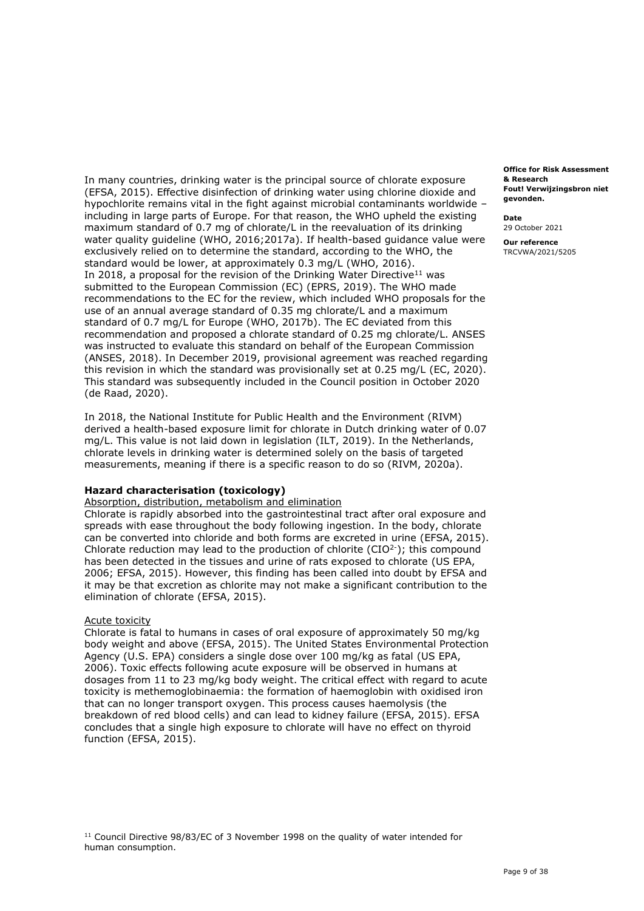In many countries, drinking water is the principal source of chlorate exposure (EFSA, 2015). Effective disinfection of drinking water using chlorine dioxide and hypochlorite remains vital in the fight against microbial contaminants worldwide – including in large parts of Europe. For that reason, the WHO upheld the existing maximum standard of 0.7 mg of chlorate/L in the reevaluation of its drinking water quality guideline (WHO, 2016;2017a). If health-based guidance value were exclusively relied on to determine the standard, according to the WHO, the standard would be lower, at approximately 0.3 mg/L (WHO, 2016). In 2018, a proposal for the revision of the Drinking Water Directive<sup>11</sup> was submitted to the European Commission (EC) (EPRS, 2019). The WHO made recommendations to the EC for the review, which included WHO proposals for the use of an annual average standard of 0.35 mg chlorate/L and a maximum standard of 0.7 mg/L for Europe (WHO, 2017b). The EC deviated from this recommendation and proposed a chlorate standard of 0.25 mg chlorate/L. ANSES was instructed to evaluate this standard on behalf of the European Commission (ANSES, 2018). In December 2019, provisional agreement was reached regarding this revision in which the standard was provisionally set at 0.25 mg/L (EC, 2020). This standard was subsequently included in the Council position in October 2020 (de Raad, 2020).

 In 2018, the National Institute for Public Health and the Environment (RIVM) derived a health-based exposure limit for chlorate in Dutch drinking water of 0.07 mg/L. This value is not laid down in legislation (ILT, 2019). In the Netherlands, chlorate levels in drinking water is determined solely on the basis of targeted measurements, meaning if there is a specific reason to do so (RIVM, 2020a).

## **Hazard characterisation (toxicology)**

Absorption, distribution, metabolism and elimination

 Chlorate is rapidly absorbed into the gastrointestinal tract after oral exposure and spreads with ease throughout the body following ingestion. In the body, chlorate can be converted into chloride and both forms are excreted in urine (EFSA, 2015). Chlorate reduction may lead to the production of chlorite ( $CIO<sup>2</sup>$ ); this compound has been detected in the tissues and urine of rats exposed to chlorate (US EPA, 2006; EFSA, 2015). However, this finding has been called into doubt by EFSA and it may be that excretion as chlorite may not make a significant contribution to the elimination of chlorate (EFSA, 2015).

#### Acute toxicity

 Chlorate is fatal to humans in cases of oral exposure of approximately 50 mg/kg body weight and above (EFSA, 2015). The United States Environmental Protection Agency (U.S. EPA) considers a single dose over 100 mg/kg as fatal (US EPA, 2006). Toxic effects following acute exposure will be observed in humans at dosages from 11 to 23 mg/kg body weight. The critical effect with regard to acute toxicity is methemoglobinaemia: the formation of haemoglobin with oxidised iron that can no longer transport oxygen. This process causes haemolysis (the breakdown of red blood cells) and can lead to kidney failure (EFSA, 2015). EFSA concludes that a single high exposure to chlorate will have no effect on thyroid function (EFSA, 2015).

 **Fout! Verwijzingsbron niet Office for Risk Assessment & Research gevonden.** 

**Date**  29 October 2021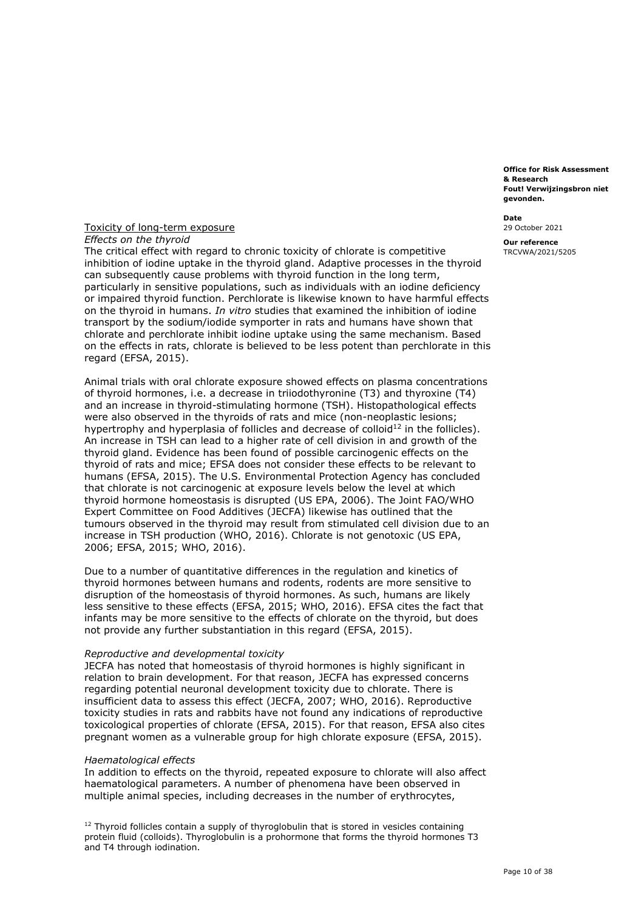**Fout! Verwijzingsbron niet Office for Risk Assessment & Research gevonden.** 

**Date**  29 October 2021

**Our reference**  TRCVWA/2021/5205

## Toxicity of long-term exposure  *Effects on the thyroid*

 The critical effect with regard to chronic toxicity of chlorate is competitive inhibition of iodine uptake in the thyroid gland. Adaptive processes in the thyroid can subsequently cause problems with thyroid function in the long term, particularly in sensitive populations, such as individuals with an iodine deficiency or impaired thyroid function. Perchlorate is likewise known to have harmful effects on the thyroid in humans. *In vitro* studies that examined the inhibition of iodine transport by the sodium/iodide symporter in rats and humans have shown that chlorate and perchlorate inhibit iodine uptake using the same mechanism. Based on the effects in rats, chlorate is believed to be less potent than perchlorate in this regard (EFSA, 2015).

 Animal trials with oral chlorate exposure showed effects on plasma concentrations of thyroid hormones, i.e. a decrease in triiodothyronine (T3) and thyroxine (T4) and an increase in thyroid-stimulating hormone (TSH). Histopathological effects were also observed in the thyroids of rats and mice (non-neoplastic lesions; hypertrophy and hyperplasia of follicles and decrease of colloid<sup>12</sup> in the follicles). An increase in TSH can lead to a higher rate of cell division in and growth of the thyroid gland. Evidence has been found of possible carcinogenic effects on the thyroid of rats and mice; EFSA does not consider these effects to be relevant to humans (EFSA, 2015). The U.S. Environmental Protection Agency has concluded that chlorate is not carcinogenic at exposure levels below the level at which thyroid hormone homeostasis is disrupted (US EPA, 2006). The Joint FAO/WHO Expert Committee on Food Additives (JECFA) likewise has outlined that the tumours observed in the thyroid may result from stimulated cell division due to an increase in TSH production (WHO, 2016). Chlorate is not genotoxic (US EPA, 2006; EFSA, 2015; WHO, 2016).

 Due to a number of quantitative differences in the regulation and kinetics of thyroid hormones between humans and rodents, rodents are more sensitive to disruption of the homeostasis of thyroid hormones. As such, humans are likely less sensitive to these effects (EFSA, 2015; WHO, 2016). EFSA cites the fact that infants may be more sensitive to the effects of chlorate on the thyroid, but does not provide any further substantiation in this regard (EFSA, 2015).

#### *Reproductive and developmental toxicity*

 JECFA has noted that homeostasis of thyroid hormones is highly significant in relation to brain development. For that reason, JECFA has expressed concerns regarding potential neuronal development toxicity due to chlorate. There is insufficient data to assess this effect (JECFA, 2007; WHO, 2016). Reproductive toxicity studies in rats and rabbits have not found any indications of reproductive toxicological properties of chlorate (EFSA, 2015). For that reason, EFSA also cites pregnant women as a vulnerable group for high chlorate exposure (EFSA, 2015).

#### *Haematological effects*

 In addition to effects on the thyroid, repeated exposure to chlorate will also affect haematological parameters. A number of phenomena have been observed in multiple animal species, including decreases in the number of erythrocytes,

 $12$  Thyroid follicles contain a supply of thyroglobulin that is stored in vesicles containing protein fluid (colloids). Thyroglobulin is a prohormone that forms the thyroid hormones T3 and T4 through iodination.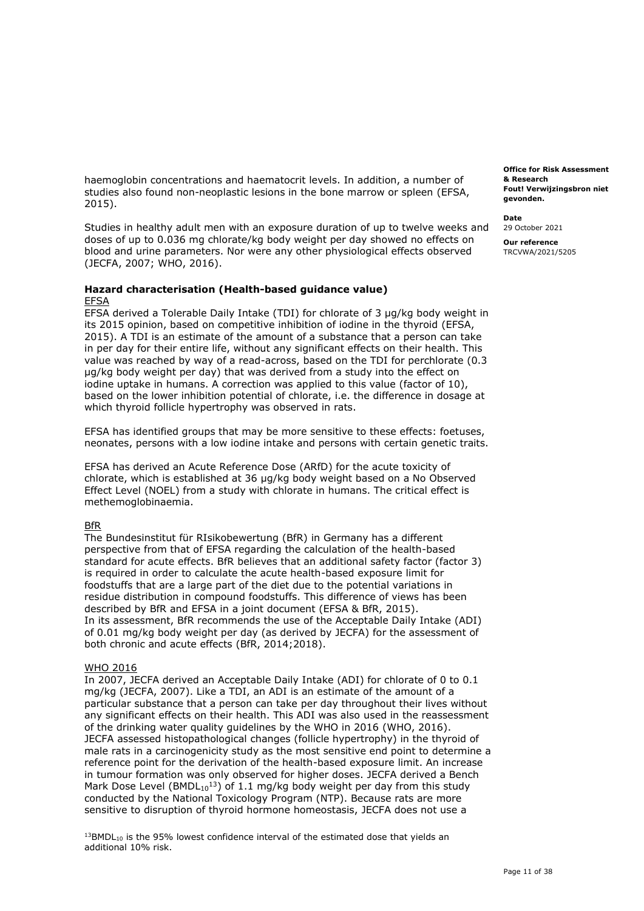haemoglobin concentrations and haematocrit levels. In addition, a number of studies also found non-neoplastic lesions in the bone marrow or spleen (EFSA, 2015).

 Studies in healthy adult men with an exposure duration of up to twelve weeks and doses of up to 0.036 mg chlorate/kg body weight per day showed no effects on blood and urine parameters. Nor were any other physiological effects observed (JECFA, 2007; WHO, 2016).

# **Hazard characterisation (Health-based guidance value)**

## EFSA

 EFSA derived a Tolerable Daily Intake (TDI) for chlorate of 3 µg/kg body weight in its 2015 opinion, based on competitive inhibition of iodine in the thyroid (EFSA, 2015). A TDI is an estimate of the amount of a substance that a person can take in per day for their entire life, without any significant effects on their health. This value was reached by way of a read-across, based on the TDI for perchlorate (0.3 µg/kg body weight per day) that was derived from a study into the effect on iodine uptake in humans. A correction was applied to this value (factor of 10), based on the lower inhibition potential of chlorate, i.e. the difference in dosage at which thyroid follicle hypertrophy was observed in rats.

 EFSA has identified groups that may be more sensitive to these effects: foetuses, neonates, persons with a low iodine intake and persons with certain genetic traits.

 EFSA has derived an Acute Reference Dose (ARfD) for the acute toxicity of chlorate, which is established at 36 µg/kg body weight based on a No Observed Effect Level (NOEL) from a study with chlorate in humans. The critical effect is methemoglobinaemia.

## **BfR**

 The [Bundesinstitut für RIsikobewertung \(BfR\)](https://nl.wikipedia.org/w/index.php?title=Bundesinstitut_für_Risikobewertung&action=edit&redlink=1) in Germany has a different perspective from that of EFSA regarding the calculation of the health-based standard for acute effects. BfR believes that an additional safety factor (factor 3) is required in order to calculate the acute health-based exposure limit for foodstuffs that are a large part of the diet due to the potential variations in residue distribution in compound foodstuffs. This difference of views has been described by BfR and EFSA in a joint document (EFSA & BfR, 2015). In its assessment, BfR recommends the use of the Acceptable Daily Intake (ADI) of 0.01 mg/kg body weight per day (as derived by JECFA) for the assessment of both chronic and acute effects (BfR, 2014;2018).

#### WHO 2016

 In 2007, JECFA derived an Acceptable Daily Intake (ADI) for chlorate of 0 to 0.1 mg/kg (JECFA, 2007). Like a TDI, an ADI is an estimate of the amount of a particular substance that a person can take per day throughout their lives without any significant effects on their health. This ADI was also used in the reassessment of the drinking water quality guidelines by the WHO in 2016 (WHO, 2016). JECFA assessed histopathological changes (follicle hypertrophy) in the thyroid of male rats in a carcinogenicity study as the most sensitive end point to determine a reference point for the derivation of the health-based exposure limit. An increase in tumour formation was only observed for higher doses. JECFA derived a Bench Mark Dose Level (BMDL $_{10}$ <sup>13</sup>) of 1.1 mg/kg body weight per day from this study conducted by the National Toxicology Program (NTP). Because rats are more sensitive to disruption of thyroid hormone homeostasis, JECFA does not use a

 $13$ BMDL<sub>10</sub> is the 95% lowest confidence interval of the estimated dose that yields an additional 10% risk.

 **Fout! Verwijzingsbron niet Office for Risk Assessment & Research gevonden.** 

**Date**  29 October 2021 **Our reference**  TRCVWA/2021/5205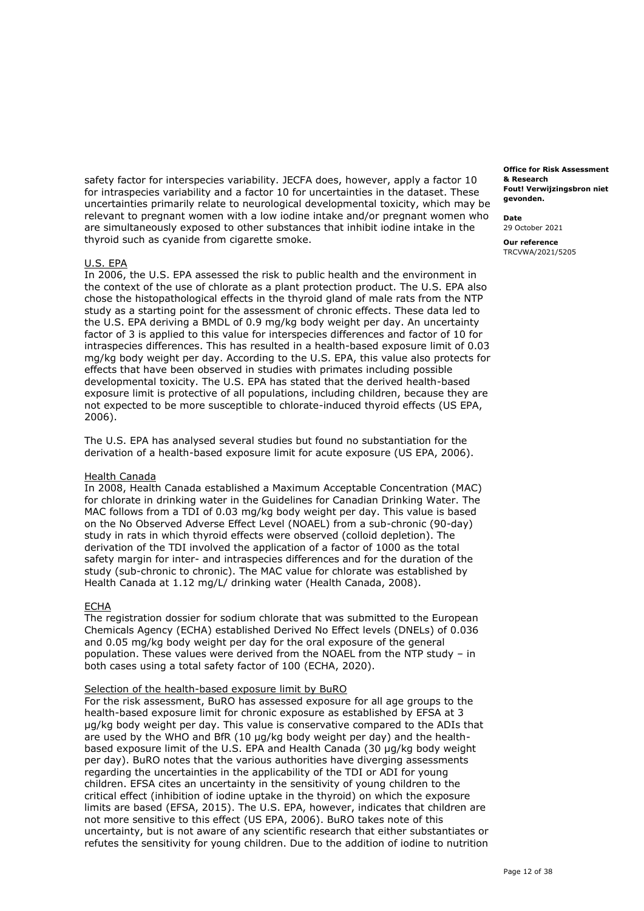safety factor for interspecies variability. JECFA does, however, apply a factor 10 for intraspecies variability and a factor 10 for uncertainties in the dataset. These uncertainties primarily relate to neurological developmental toxicity, which may be relevant to pregnant women with a low iodine intake and/or pregnant women who are simultaneously exposed to other substances that inhibit iodine intake in the thyroid such as cyanide from cigarette smoke.

## U.S. EPA

 In 2006, the U.S. EPA assessed the risk to public health and the environment in the context of the use of chlorate as a plant protection product. The U.S. EPA also chose the histopathological effects in the thyroid gland of male rats from the NTP study as a starting point for the assessment of chronic effects. These data led to the U.S. EPA deriving a BMDL of 0.9 mg/kg body weight per day. An uncertainty factor of 3 is applied to this value for interspecies differences and factor of 10 for intraspecies differences. This has resulted in a health-based exposure limit of 0.03 mg/kg body weight per day. According to the U.S. EPA, this value also protects for effects that have been observed in studies with primates including possible developmental toxicity. The U.S. EPA has stated that the derived health-based exposure limit is protective of all populations, including children, because they are not expected to be more susceptible to chlorate-induced thyroid effects (US EPA, 2006).

 The U.S. EPA has analysed several studies but found no substantiation for the derivation of a health-based exposure limit for acute exposure (US EPA, 2006).

#### Health Canada

 In 2008, Health Canada established a Maximum Acceptable Concentration (MAC) for chlorate in drinking water in the Guidelines for Canadian Drinking Water. The MAC follows from a TDI of 0.03 mg/kg body weight per day. This value is based on the No Observed Adverse Effect Level (NOAEL) from a sub-chronic (90-day) study in rats in which thyroid effects were observed (colloid depletion). The derivation of the TDI involved the application of a factor of 1000 as the total safety margin for inter- and intraspecies differences and for the duration of the study (sub-chronic to chronic). The MAC value for chlorate was established by Health Canada at 1.12 mg/L/ drinking water (Health Canada, 2008).

#### ECHA

 The registration dossier for sodium chlorate that was submitted to the European Chemicals Agency (ECHA) established Derived No Effect levels (DNELs) of 0.036 and 0.05 mg/kg body weight per day for the oral exposure of the general population. These values were derived from the NOAEL from the NTP study – in both cases using a total safety factor of 100 (ECHA, 2020).

#### Selection of the health-based exposure limit by BuRO

 For the risk assessment, BuRO has assessed exposure for all age groups to the health-based exposure limit for chronic exposure as established by EFSA at 3 µg/kg body weight per day. This value is conservative compared to the ADIs that are used by the WHO and BfR (10 µg/kg body weight per day) and the health- based exposure limit of the U.S. EPA and Health Canada (30 µg/kg body weight per day). BuRO notes that the various authorities have diverging assessments regarding the uncertainties in the applicability of the TDI or ADI for young children. EFSA cites an uncertainty in the sensitivity of young children to the critical effect (inhibition of iodine uptake in the thyroid) on which the exposure limits are based (EFSA, 2015). The U.S. EPA, however, indicates that children are not more sensitive to this effect (US EPA, 2006). BuRO takes note of this uncertainty, but is not aware of any scientific research that either substantiates or refutes the sensitivity for young children. Due to the addition of iodine to nutrition

 **Fout! Verwijzingsbron niet Office for Risk Assessment & Research gevonden.** 

**Date** 

29 October 2021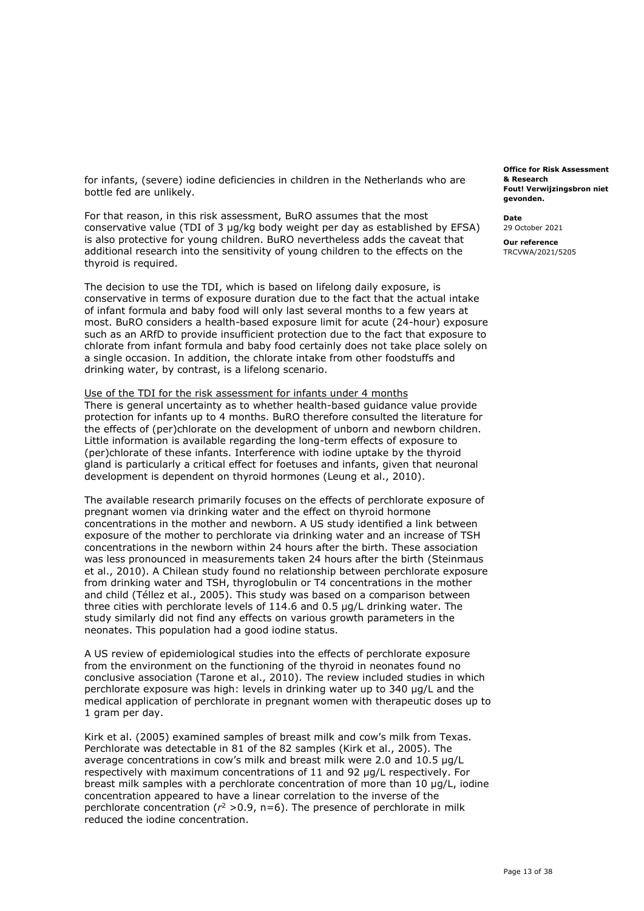for infants, (severe) iodine deficiencies in children in the Netherlands who are bottle fed are unlikely.

 For that reason, in this risk assessment, BuRO assumes that the most conservative value (TDI of 3 µg/kg body weight per day as established by EFSA) is also protective for young children. BuRO nevertheless adds the caveat that additional research into the sensitivity of young children to the effects on the thyroid is required.

 The decision to use the TDI, which is based on lifelong daily exposure, is conservative in terms of exposure duration due to the fact that the actual intake of infant formula and baby food will only last several months to a few years at most. BuRO considers a health-based exposure limit for acute (24-hour) exposure such as an ARfD to provide insufficient protection due to the fact that exposure to chlorate from infant formula and baby food certainly does not take place solely on a single occasion. In addition, the chlorate intake from other foodstuffs and drinking water, by contrast, is a lifelong scenario.

Use of the TDI for the risk assessment for infants under 4 months There is general uncertainty as to whether health-based guidance value provide protection for infants up to 4 months. BuRO therefore consulted the literature for the effects of (per)chlorate on the development of unborn and newborn children. Little information is available regarding the long-term effects of exposure to (per)chlorate of these infants. Interference with iodine uptake by the thyroid gland is particularly a critical effect for foetuses and infants, given that neuronal development is dependent on thyroid hormones (Leung et al., 2010).

 The available research primarily focuses on the effects of perchlorate exposure of pregnant women via drinking water and the effect on thyroid hormone concentrations in the mother and newborn. A US study identified a link between exposure of the mother to perchlorate via drinking water and an increase of TSH concentrations in the newborn within 24 hours after the birth. These association was less pronounced in measurements taken 24 hours after the birth (Steinmaus et al., 2010). A Chilean study found no relationship between perchlorate exposure from drinking water and TSH, thyroglobulin or T4 concentrations in the mother and child (Téllez et al., 2005). This study was based on a comparison between three cities with perchlorate levels of 114.6 and 0.5 µg/L drinking water. The study similarly did not find any effects on various growth parameters in the neonates. This population had a good iodine status.

 A US review of epidemiological studies into the effects of perchlorate exposure from the environment on the functioning of the thyroid in neonates found no conclusive association (Tarone et al., 2010). The review included studies in which perchlorate exposure was high: levels in drinking water up to 340 µg/L and the medical application of perchlorate in pregnant women with therapeutic doses up to 1 gram per day.

 Kirk et al. (2005) examined samples of breast milk and cow's milk from Texas. Perchlorate was detectable in 81 of the 82 samples (Kirk et al., 2005). The average concentrations in cow's milk and breast milk were 2.0 and 10.5 µg/L respectively with maximum concentrations of 11 and 92 µg/L respectively. For breast milk samples with a perchlorate concentration of more than 10 µg/L, iodine concentration appeared to have a linear correlation to the inverse of the perchlorate concentration ( $r^2 > 0.9$ , n=6). The presence of perchlorate in milk reduced the iodine concentration.

 **Fout! Verwijzingsbron niet Office for Risk Assessment & Research gevonden.** 

**Date**  29 October 2021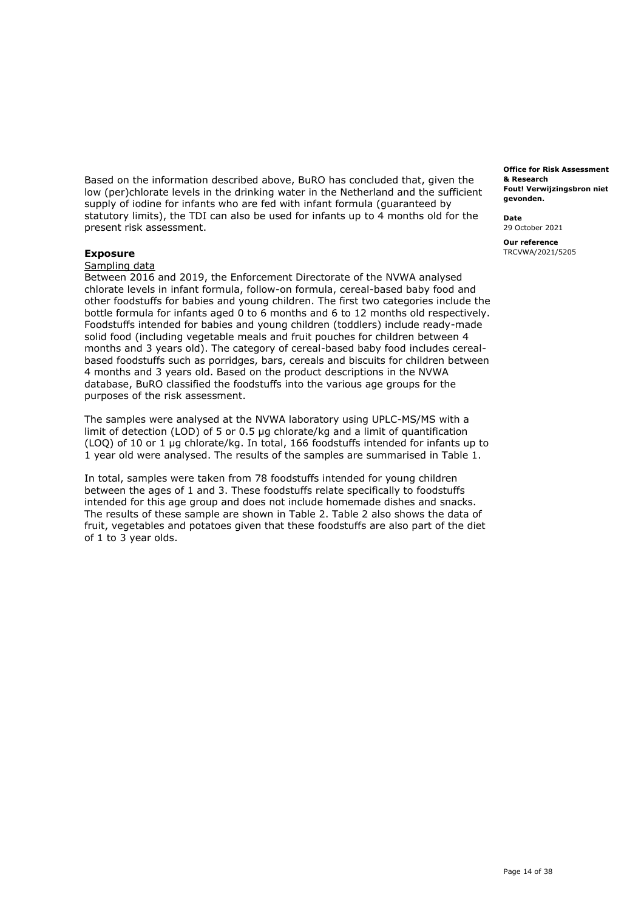Based on the information described above, BuRO has concluded that, given the low (per)chlorate levels in the drinking water in the Netherland and the sufficient supply of iodine for infants who are fed with infant formula (guaranteed by statutory limits), the TDI can also be used for infants up to 4 months old for the present risk assessment.

## **Exposure**

Sampling data

 Between 2016 and 2019, the Enforcement Directorate of the NVWA analysed chlorate levels in infant formula, follow-on formula, cereal-based baby food and other foodstuffs for babies and young children. The first two categories include the bottle formula for infants aged 0 to 6 months and 6 to 12 months old respectively. Foodstuffs intended for babies and young children (toddlers) include ready-made solid food (including vegetable meals and fruit pouches for children between 4 months and 3 years old). The category of cereal-based baby food includes cereal- based foodstuffs such as porridges, bars, cereals and biscuits for children between 4 months and 3 years old. Based on the product descriptions in the NVWA database, BuRO classified the foodstuffs into the various age groups for the purposes of the risk assessment.

 The samples were analysed at the NVWA laboratory using UPLC-MS/MS with a limit of detection (LOD) of 5 or 0.5 µg chlorate/kg and a limit of quantification (LOQ) of 10 or 1 µg chlorate/kg. In total, 166 foodstuffs intended for infants up to 1 year old were analysed. The results of the samples are summarised in Table 1.

 In total, samples were taken from 78 foodstuffs intended for young children between the ages of 1 and 3. These foodstuffs relate specifically to foodstuffs intended for this age group and does not include homemade dishes and snacks. The results of these sample are shown in Table 2. Table 2 also shows the data of fruit, vegetables and potatoes given that these foodstuffs are also part of the diet of 1 to 3 year olds.

 **Fout! Verwijzingsbron niet Office for Risk Assessment & Research gevonden.** 

**Date**  29 October 2021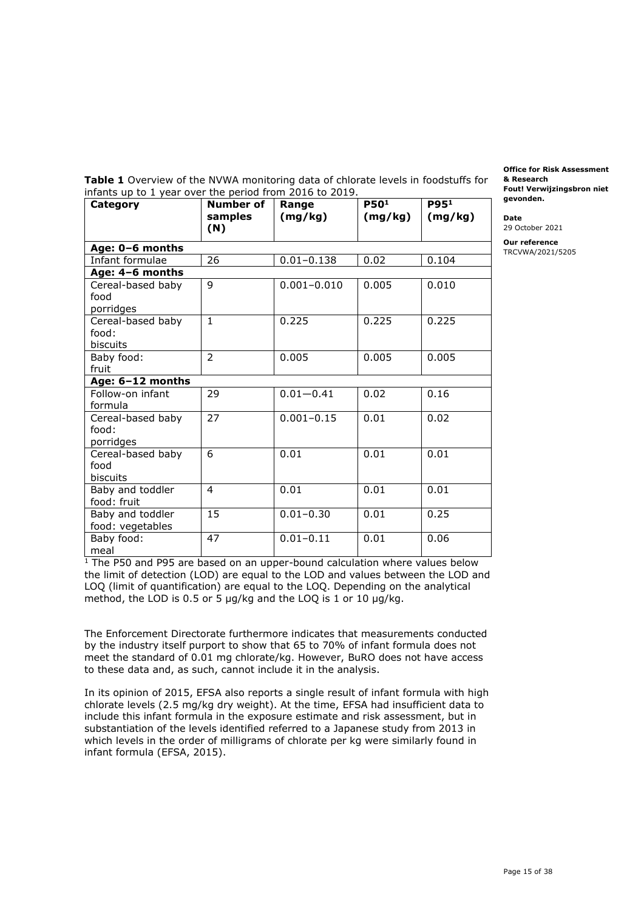**Table 1** Overview of the NVWA monitoring data of chlorate levels in foodstuffs for infants up to 1 year over the period from 2016 to 2019. **gevonden.** 

| Category                                | Number of<br>samples<br>(N) | Range<br>(mg/kg) | P50 <sup>1</sup><br>(mg/kg) | P95 <sup>1</sup><br>(mg/kg) |
|-----------------------------------------|-----------------------------|------------------|-----------------------------|-----------------------------|
| Age: 0-6 months                         |                             |                  |                             |                             |
| Infant formulae                         | 26                          | $0.01 - 0.138$   | 0.02                        | 0.104                       |
| Age: 4-6 months                         |                             |                  |                             |                             |
| Cereal-based baby<br>food<br>porridges  | 9                           | $0.001 - 0.010$  | 0.005                       | 0.010                       |
| Cereal-based baby<br>food:<br>biscuits  | $\mathbf{1}$                | 0.225            | 0.225                       | 0.225                       |
| Baby food:<br>fruit                     | $\mathcal{P}$               | 0.005            | 0.005                       | 0.005                       |
| Age: 6-12 months                        |                             |                  |                             |                             |
| Follow-on infant<br>formula             | 29                          | $0.01 - 0.41$    | 0.02                        | 0.16                        |
| Cereal-based baby<br>food:<br>porridges | 27                          | $0.001 - 0.15$   | 0.01                        | 0.02                        |
| Cereal-based baby<br>food<br>biscuits   | 6                           | 0.01             | 0.01                        | 0.01                        |
| Baby and toddler<br>food: fruit         | $\overline{4}$              | 0.01             | 0.01                        | 0.01                        |
| Baby and toddler<br>food: vegetables    | 15                          | $0.01 - 0.30$    | 0.01                        | 0.25                        |
| Baby food:<br>meal                      | 47                          | $0.01 - 0.11$    | 0.01                        | 0.06                        |

<sup>1</sup> The P50 and P95 are based on an upper-bound calculation where values below the limit of detection (LOD) are equal to the LOD and values between the LOD and LOQ (limit of quantification) are equal to the LOQ. Depending on the analytical method, the LOD is 0.5 or 5 µg/kg and the LOQ is 1 or 10 µg/kg.

 by the industry itself purport to show that 65 to 70% of infant formula does not meet the standard of 0.01 mg chlorate/kg. However, BuRO does not have access to these data and, as such, cannot include it in the analysis. The Enforcement Directorate furthermore indicates that measurements conducted

 In its opinion of 2015, EFSA also reports a single result of infant formula with high chlorate levels (2.5 mg/kg dry weight). At the time, EFSA had insufficient data to include this infant formula in the exposure estimate and risk assessment, but in substantiation of the levels identified referred to a Japanese study from 2013 in which levels in the order of milligrams of chlorate per kg were similarly found in infant formula (EFSA, 2015).

 **Fout! Verwijzingsbron niet Office for Risk Assessment & Research** 

**Date** 

29 October 2021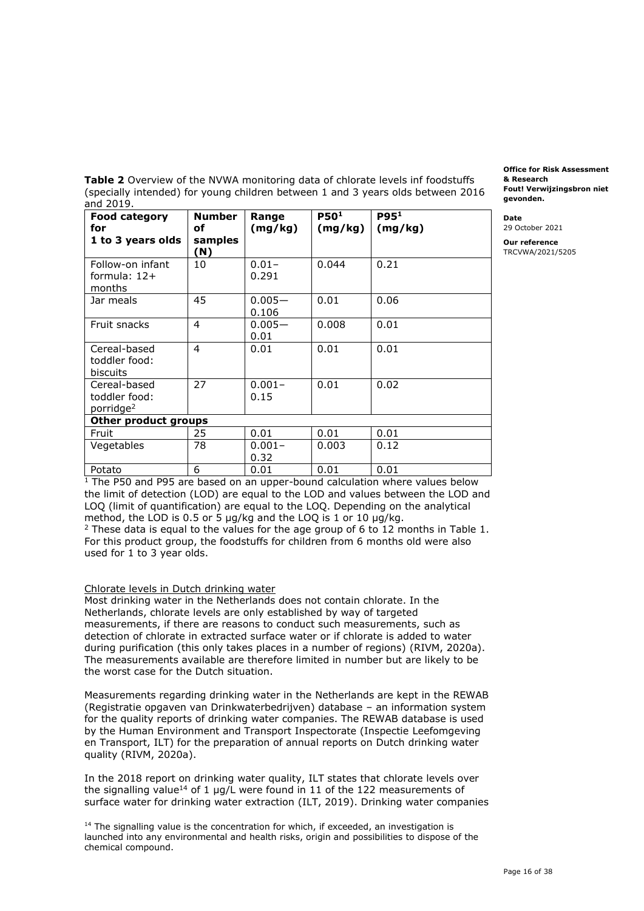**Table 2** Overview of the NVWA monitoring data of chlorate levels inf foodstuffs (specially intended) for young children between 1 and 3 years olds between 2016 **gevonden.** and 2019. and 2019.

| <b>Food category</b><br>for<br>1 to 3 years olds       | <b>Number</b><br>оf<br>samples<br>(N) | Range<br>(mg/kg)   | P50 <sup>1</sup><br>(mg/kg) | P95 <sup>1</sup><br>(mg/kg) |
|--------------------------------------------------------|---------------------------------------|--------------------|-----------------------------|-----------------------------|
| Follow-on infant<br>formula: $12+$<br>months           | 10                                    | $0.01 -$<br>0.291  | 0.044                       | 0.21                        |
| Jar meals                                              | 45                                    | $0.005 -$<br>0.106 | 0.01                        | 0.06                        |
| Fruit snacks                                           | $\overline{4}$                        | $0.005 -$<br>0.01  | 0.008                       | 0.01                        |
| Cereal-based<br>toddler food:<br><b>biscuits</b>       | 4                                     | 0.01               | 0.01                        | 0.01                        |
| Cereal-based<br>toddler food:<br>porridge <sup>2</sup> | 27                                    | $0.001 -$<br>0.15  | 0.01                        | 0.02                        |
| Other product groups                                   |                                       |                    |                             |                             |
| Fruit                                                  | 25                                    | 0.01               | 0.01                        | 0.01                        |
| Vegetables                                             | 78                                    | $0.001 -$<br>0.32  | 0.003                       | 0.12                        |
| Potato                                                 | 6                                     | 0.01               | 0.01                        | 0.01                        |

 **Fout! Verwijzingsbron niet Office for Risk Assessment & Research** 

**Date** 

29 October 2021

**Our reference**  TRCVWA/2021/5205

 $1$  The P50 and P95 are based on an upper-bound calculation where values below the limit of detection (LOD) are equal to the LOD and values between the LOD and LOQ (limit of quantification) are equal to the LOQ. Depending on the analytical method, the LOD is 0.5 or 5 µg/kg and the LOQ is 1 or 10 µg/kg. method, the LOD is 0.5 or 5 µg/kg and the LOQ is 1 or 10 µg/kg.<br><sup>2</sup> These data is equal to the values for the age group of 6 to 12 months in Table 1.

 For this product group, the foodstuffs for children from 6 months old were also used for 1 to 3 year olds.

## Chlorate levels in Dutch drinking water

 Most drinking water in the Netherlands does not contain chlorate. In the Netherlands, chlorate levels are only established by way of targeted measurements, if there are reasons to conduct such measurements, such as detection of chlorate in extracted surface water or if chlorate is added to water during purification (this only takes places in a number of regions) (RIVM, 2020a). The measurements available are therefore limited in number but are likely to be the worst case for the Dutch situation.

 Measurements regarding drinking water in the Netherlands are kept in the REWAB (Registratie opgaven van Drinkwaterbedrijven) database – an information system for the quality reports of drinking water companies. The REWAB database is used by the Human Environment and Transport Inspectorate (Inspectie Leefomgeving en Transport, ILT) for the preparation of annual reports on Dutch drinking water quality (RIVM, 2020a).

 In the 2018 report on drinking water quality, ILT states that chlorate levels over the signalling value<sup>14</sup> of 1 µg/L were found in 11 of the 122 measurements of surface water for drinking water extraction (ILT, 2019). Drinking water companies

 $14$  The signalling value is the concentration for which, if exceeded, an investigation is launched into any environmental and health risks, origin and possibilities to dispose of the chemical compound.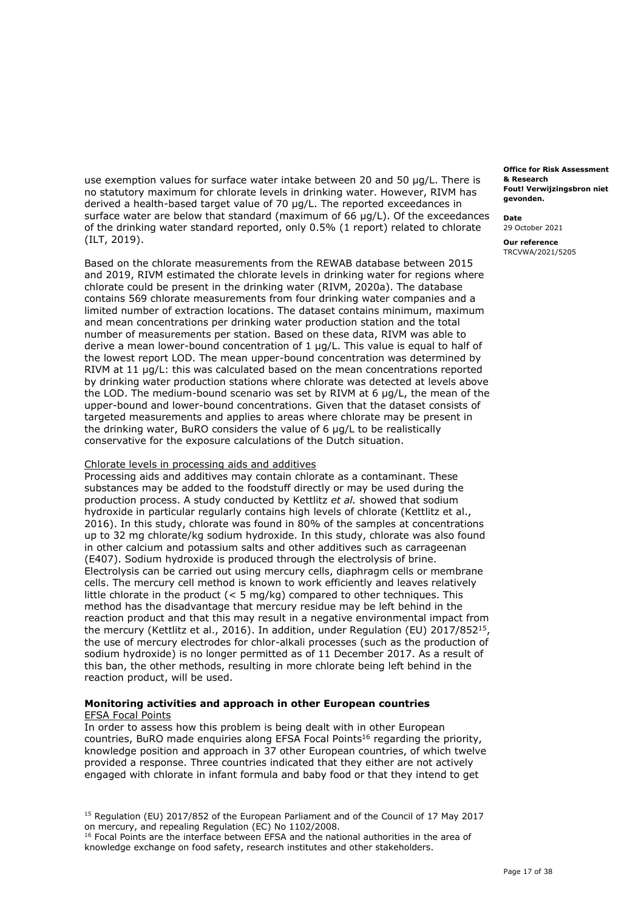use exemption values for surface water intake between 20 and 50 µg/L. There is no statutory maximum for chlorate levels in drinking water. However, RIVM has derived a health-based target value of 70 µg/L. The reported exceedances in surface water are below that standard (maximum of 66 µg/L). Of the exceedances of the drinking water standard reported, only 0.5% (1 report) related to chlorate (ILT, 2019).

 Based on the chlorate measurements from the REWAB database between 2015 and 2019, RIVM estimated the chlorate levels in drinking water for regions where chlorate could be present in the drinking water (RIVM, 2020a). The database contains 569 chlorate measurements from four drinking water companies and a limited number of extraction locations. The dataset contains minimum, maximum and mean concentrations per drinking water production station and the total number of measurements per station. Based on these data, RIVM was able to derive a mean lower-bound concentration of 1 µg/L. This value is equal to half of the lowest report LOD. The mean upper-bound concentration was determined by RIVM at 11 µg/L: this was calculated based on the mean concentrations reported by drinking water production stations where chlorate was detected at levels above the LOD. The medium-bound scenario was set by RIVM at 6 µg/L, the mean of the upper-bound and lower-bound concentrations. Given that the dataset consists of targeted measurements and applies to areas where chlorate may be present in the drinking water, BuRO considers the value of 6 µg/L to be realistically conservative for the exposure calculations of the Dutch situation.

#### Chlorate levels in processing aids and additives

 Processing aids and additives may contain chlorate as a contaminant. These substances may be added to the foodstuff directly or may be used during the production process. A study conducted by Kettlitz *et al.* showed that sodium hydroxide in particular regularly contains high levels of chlorate (Kettlitz et al., 2016). In this study, chlorate was found in 80% of the samples at concentrations up to 32 mg chlorate/kg sodium hydroxide. In this study, chlorate was also found (E407). Sodium hydroxide is produced through the electrolysis of brine. Electrolysis can be carried out using mercury cells, diaphragm cells or membrane cells. The mercury cell method is known to work efficiently and leaves relatively little chlorate in the product (< 5 mg/kg) compared to other techniques. This method has the disadvantage that mercury residue may be left behind in the reaction product and that this may result in a negative environmental impact from the mercury (Kettlitz et al., 2016). In addition, under Regulation (EU) 2017/852<sup>15</sup>, the use of mercury electrodes for chlor-alkali processes (such as the production of sodium hydroxide) is no longer permitted as of 11 December 2017. As a result of this ban, the other methods, resulting in more chlorate being left behind in the reaction product, will be used. in other calcium and potassium salts and other additives such as carrageenan

#### **Monitoring activities and approach in other European countries**  EFSA Focal Points

 In order to assess how this problem is being dealt with in other European countries, BuRO made enquiries along EFSA Focal Points<sup>16</sup> regarding the priority, knowledge position and approach in 37 other European countries, of which twelve provided a response. Three countries indicated that they either are not actively engaged with chlorate in infant formula and baby food or that they intend to get

<sup>15</sup> Regulation (EU) 2017/852 of the European Parliament and of the Council of 17 May 2017 on mercury, and repealing Regulation (EC) No 1102/2008.

<sup>16</sup> Focal Points are the interface between EFSA and the national authorities in the area of knowledge exchange on food safety, research institutes and other stakeholders.

 **Fout! Verwijzingsbron niet Office for Risk Assessment & Research gevonden.** 

#### **Date**

29 October 2021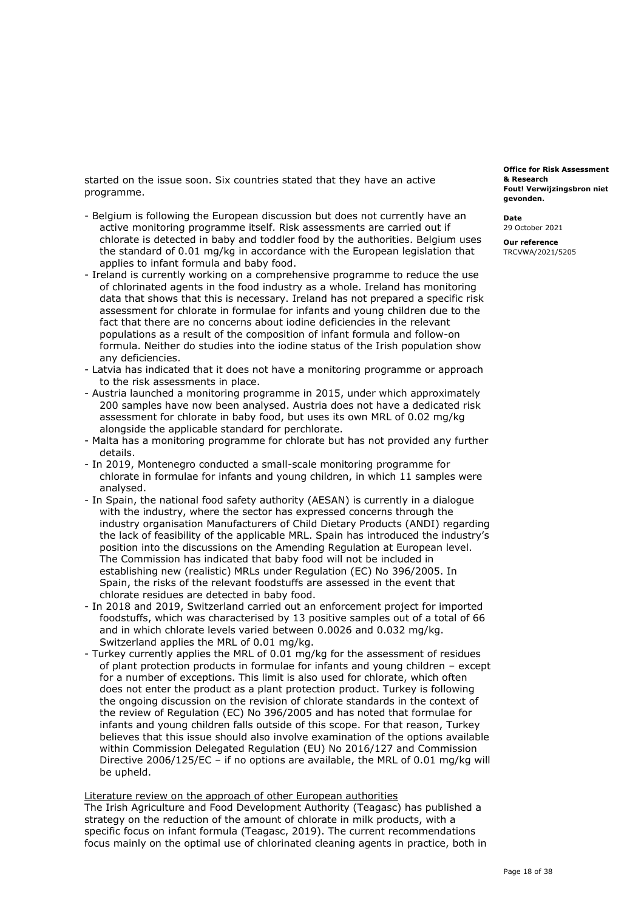started on the issue soon. Six countries stated that they have an active programme.

- - Belgium is following the European discussion but does not currently have an active monitoring programme itself. Risk assessments are carried out if chlorate is detected in baby and toddler food by the authorities. Belgium uses the standard of 0.01 mg/kg in accordance with the European legislation that applies to infant formula and baby food.
- - Ireland is currently working on a comprehensive programme to reduce the use of chlorinated agents in the food industry as a whole. Ireland has monitoring data that shows that this is necessary. Ireland has not prepared a specific risk assessment for chlorate in formulae for infants and young children due to the fact that there are no concerns about iodine deficiencies in the relevant populations as a result of the composition of infant formula and follow-on formula. Neither do studies into the iodine status of the Irish population show any deficiencies.
- - Latvia has indicated that it does not have a monitoring programme or approach to the risk assessments in place.
- - Austria launched a monitoring programme in 2015, under which approximately 200 samples have now been analysed. Austria does not have a dedicated risk assessment for chlorate in baby food, but uses its own MRL of 0.02 mg/kg alongside the applicable standard for perchlorate.
- - Malta has a monitoring programme for chlorate but has not provided any further details.
- - In 2019, Montenegro conducted a small-scale monitoring programme for chlorate in formulae for infants and young children, in which 11 samples were analysed.
- - In Spain, the national food safety authority (AESAN) is currently in a dialogue with the industry, where the sector has expressed concerns through the industry organisation Manufacturers of Child Dietary Products (ANDI) regarding the lack of feasibility of the applicable MRL. Spain has introduced the industry's position into the discussions on the Amending Regulation at European level. The Commission has indicated that baby food will not be included in establishing new (realistic) MRLs under Regulation (EC) No 396/2005. In Spain, the risks of the relevant foodstuffs are assessed in the event that chlorate residues are detected in baby food.
- - In 2018 and 2019, Switzerland carried out an enforcement project for imported foodstuffs, which was characterised by 13 positive samples out of a total of 66 and in which chlorate levels varied between 0.0026 and 0.032 mg/kg. Switzerland applies the MRL of 0.01 mg/kg.
- - Turkey currently applies the MRL of 0.01 mg/kg for the assessment of residues of plant protection products in formulae for infants and young children – except for a number of exceptions. This limit is also used for chlorate, which often does not enter the product as a plant protection product. Turkey is following the ongoing discussion on the revision of chlorate standards in the context of the review of Regulation (EC) No 396/2005 and has noted that formulae for infants and young children falls outside of this scope. For that reason, Turkey believes that this issue should also involve examination of the options available within Commission Delegated Regulation (EU) No 2016/127 and Commission Directive 2006/125/EC – if no options are available, the MRL of 0.01 mg/kg will be upheld.

Literature review on the approach of other European authorities

 The Irish Agriculture and Food Development Authority (Teagasc) has published a strategy on the reduction of the amount of chlorate in milk products, with a specific focus on infant formula (Teagasc, 2019). The current recommendations focus mainly on the optimal use of chlorinated cleaning agents in practice, both in

 **Fout! Verwijzingsbron niet Office for Risk Assessment & Research gevonden.** 

**Date**  29 October 2021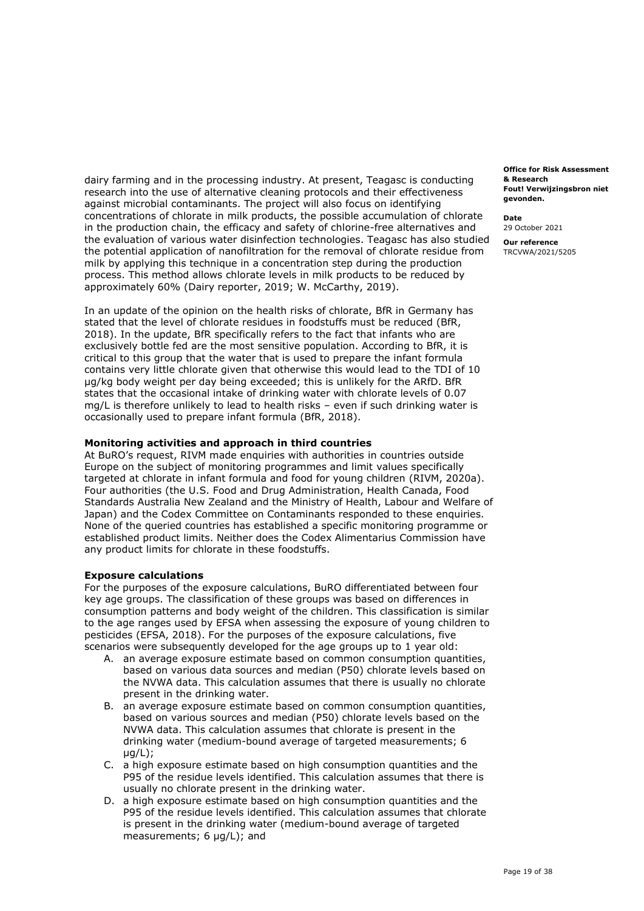dairy farming and in the processing industry. At present, Teagasc is conducting research into the use of alternative cleaning protocols and their effectiveness against microbial contaminants. The project will also focus on identifying concentrations of chlorate in milk products, the possible accumulation of chlorate in the production chain, the efficacy and safety of chlorine-free alternatives and the evaluation of various water disinfection technologies. Teagasc has also studied the potential application of nanofiltration for the removal of chlorate residue from milk by applying this technique in a concentration step during the production process. This method allows chlorate levels in milk products to be reduced by approximately 60% (Dairy reporter, 2019; W. McCarthy, 2019).

 In an update of the opinion on the health risks of chlorate, BfR in Germany has stated that the level of chlorate residues in foodstuffs must be reduced (BfR, 2018). In the update, BfR specifically refers to the fact that infants who are exclusively bottle fed are the most sensitive population. According to BfR, it is critical to this group that the water that is used to prepare the infant formula contains very little chlorate given that otherwise this would lead to the TDI of 10 µg/kg body weight per day being exceeded; this is unlikely for the ARfD. BfR states that the occasional intake of drinking water with chlorate levels of 0.07 mg/L is therefore unlikely to lead to health risks – even if such drinking water is occasionally used to prepare infant formula (BfR, 2018).

## **Monitoring activities and approach in third countries**

 At BuRO's request, RIVM made enquiries with authorities in countries outside Europe on the subject of monitoring programmes and limit values specifically targeted at chlorate in infant formula and food for young children (RIVM, 2020a). Four authorities (the U.S. Food and Drug Administration, Health Canada, Food Standards Australia New Zealand and the Ministry of Health, Labour and Welfare of Japan) and the Codex Committee on Contaminants responded to these enquiries. None of the queried countries has established a specific monitoring programme or established product limits. Neither does the Codex Alimentarius Commission have any product limits for chlorate in these foodstuffs.

#### **Exposure calculations**

 For the purposes of the exposure calculations, BuRO differentiated between four key age groups. The classification of these groups was based on differences in consumption patterns and body weight of the children. This classification is similar to the age ranges used by EFSA when assessing the exposure of young children to pesticides (EFSA, 2018). For the purposes of the exposure calculations, five scenarios were subsequently developed for the age groups up to 1 year old:

- A. an average exposure estimate based on common consumption quantities, based on various data sources and median (P50) chlorate levels based on the NVWA data. This calculation assumes that there is usually no chlorate present in the drinking water.
- B. an average exposure estimate based on common consumption quantities, based on various sources and median (P50) chlorate levels based on the NVWA data. This calculation assumes that chlorate is present in the drinking water (medium-bound average of targeted measurements; 6  $\mu$ a/L $)$ :
- C. a high exposure estimate based on high consumption quantities and the P95 of the residue levels identified. This calculation assumes that there is usually no chlorate present in the drinking water.
- D. a high exposure estimate based on high consumption quantities and the P95 of the residue levels identified. This calculation assumes that chlorate is present in the drinking water (medium-bound average of targeted measurements; 6 µg/L); and

 **Fout! Verwijzingsbron niet Office for Risk Assessment & Research gevonden.** 

**Date** 

29 October 2021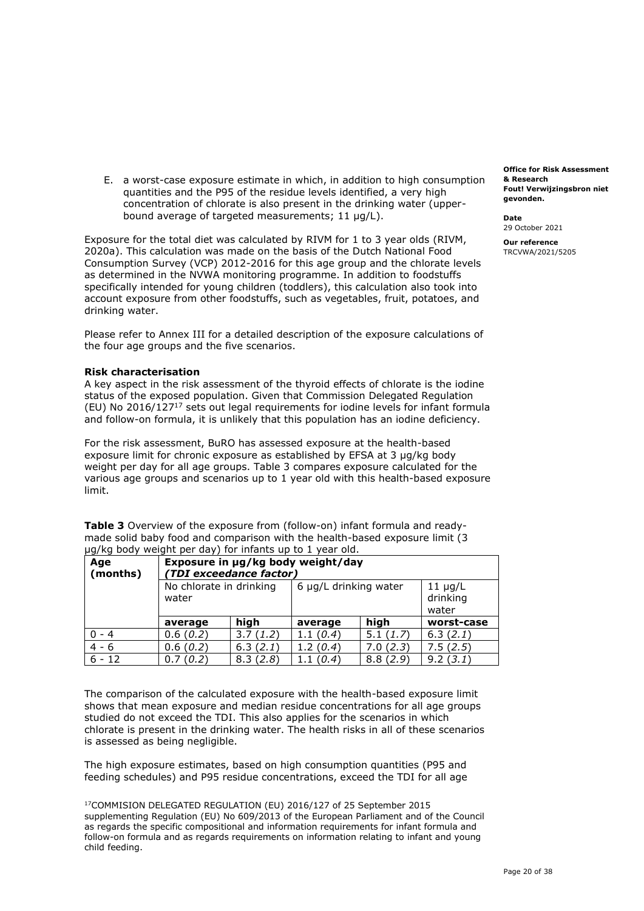E. a worst-case exposure estimate in which, in addition to high consumption quantities and the P95 of the residue levels identified, a very high concentration of chlorate is also present in the drinking water (upper-bound average of targeted measurements; 11 µg/L).

 Exposure for the total diet was calculated by RIVM for 1 to 3 year olds (RIVM, 2020a). This calculation was made on the basis of the Dutch National Food Consumption Survey (VCP) 2012-2016 for this age group and the chlorate levels as determined in the NVWA monitoring programme. In addition to foodstuffs specifically intended for young children (toddlers), this calculation also took into account exposure from other foodstuffs, such as vegetables, fruit, potatoes, and drinking water.

 Please refer to Annex III for a detailed description of the exposure calculations of the four age groups and the five scenarios.

## **Risk characterisation**

 A key aspect in the risk assessment of the thyroid effects of chlorate is the iodine status of the exposed population. Given that Commission Delegated Regulation (EU) No 2016/127 $^{17}$  sets out legal requirements for iodine levels for infant formula and follow-on formula, it is unlikely that this population has an iodine deficiency.

 For the risk assessment, BuRO has assessed exposure at the health-based exposure limit for chronic exposure as established by EFSA at 3 µg/kg body weight per day for all age groups. Table 3 compares exposure calculated for the various age groups and scenarios up to 1 year old with this health-based exposure limit.

 **Table 3** Overview of the exposure from (follow-on) infant formula and ready- made solid baby food and comparison with the health-based exposure limit (3 µg/kg body weight per day) for infants up to 1 year old.

| Age<br>(months) | Exposure in µg/kg body weight/day<br>(TDI exceedance factor) |          |                       |          |                                   |
|-----------------|--------------------------------------------------------------|----------|-----------------------|----------|-----------------------------------|
|                 | No chlorate in drinking<br>water                             |          | 6 µg/L drinking water |          | $11 \mu g/L$<br>drinking<br>water |
|                 | average                                                      | high     | average               | high     | worst-case                        |
| $-4$            | 0.6(0.2)                                                     | 3.7(1.2) | 1.1(0.4)              | 5.1(1.7) | 6.3(2.1)                          |
| $4 - 6$         | 0.6(0.2)                                                     | 6.3(2.1) | 1.2(0.4)              | 7.0(2.3) | 7.5(2.5)                          |
| $6 - 12$        | 0.7(0.2)                                                     | 8.3(2.8) | 1.1(0.4)              | 8.8(2.9) | 9.2(3.1)                          |

 The comparison of the calculated exposure with the health-based exposure limit shows that mean exposure and median residue concentrations for all age groups studied do not exceed the TDI. This also applies for the scenarios in which chlorate is present in the drinking water. The health risks in all of these scenarios is assessed as being negligible.

 The high exposure estimates, based on high consumption quantities (P95 and feeding schedules) and P95 residue concentrations, exceed the TDI for all age

 17COMMISION DELEGATED REGULATION (EU) 2016/127 of 25 September 2015 supplementing Regulation (EU) No 609/2013 of the European Parliament and of the Council as regards the specific compositional and information requirements for infant formula and follow-on formula and as regards requirements on information relating to infant and young child feeding.

 **Fout! Verwijzingsbron niet Office for Risk Assessment & Research gevonden.** 

**Date**  29 October 2021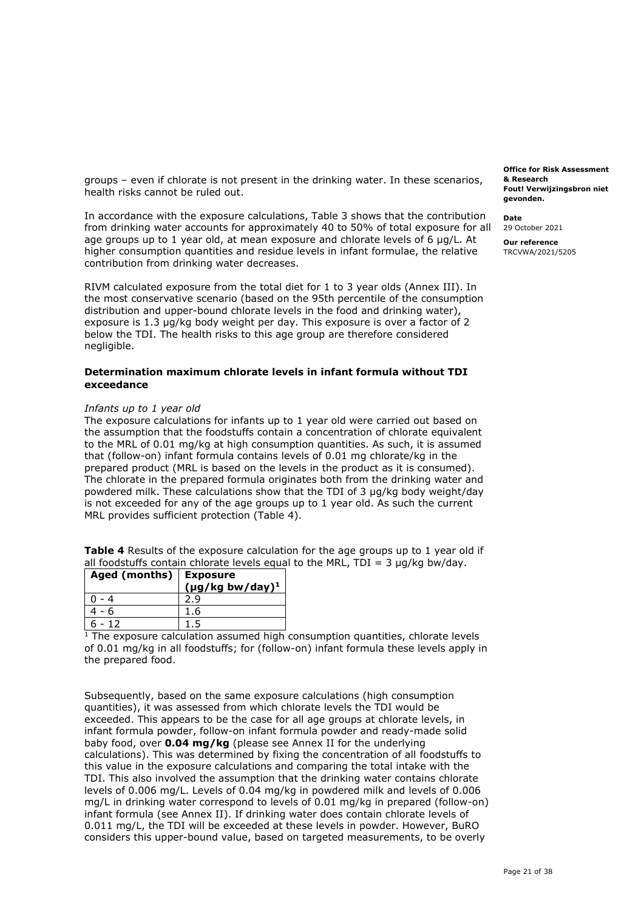groups – even if chlorate is not present in the drinking water. In these scenarios, health risks cannot be ruled out.

 In accordance with the exposure calculations, Table 3 shows that the contribution from drinking water accounts for approximately 40 to 50% of total exposure for all age groups up to 1 year old, at mean exposure and chlorate levels of 6 µg/L. At higher consumption quantities and residue levels in infant formulae, the relative contribution from drinking water decreases.

 RIVM calculated exposure from the total diet for 1 to 3 year olds (Annex III). In the most conservative scenario (based on the 95th percentile of the consumption distribution and upper-bound chlorate levels in the food and drinking water), exposure is 1.3 µg/kg body weight per day. This exposure is over a factor of 2 below the TDI. The health risks to this age group are therefore considered negligible.

## **Determination maximum chlorate levels in infant formula without TDI exceedance**

## *Infants up to 1 year old*

 The exposure calculations for infants up to 1 year old were carried out based on the assumption that the foodstuffs contain a concentration of chlorate equivalent to the MRL of 0.01 mg/kg at high consumption quantities. As such, it is assumed that (follow-on) infant formula contains levels of 0.01 mg chlorate/kg in the prepared product (MRL is based on the levels in the product as it is consumed). The chlorate in the prepared formula originates both from the drinking water and powdered milk. These calculations show that the TDI of 3 µg/kg body weight/day is not exceeded for any of the age groups up to 1 year old. As such the current MRL provides sufficient protection (Table 4).

 **Table 4** Results of the exposure calculation for the age groups up to 1 year old if all foodstuffs contain chlorate levels equal to the MRL, TDI = 3  $\mu$ g/kg bw/day.

| Aged (months)   Exposure |                                  |  |
|--------------------------|----------------------------------|--|
|                          | $(\mu g/kg$ bw/day) <sup>1</sup> |  |
|                          |                                  |  |
| 4 - 6                    | 1.6                              |  |
| - 12                     |                                  |  |

 $\begin{array}{c|c|c} 6 - 12 & 1.5 & \hline \end{array}$  The exposure calculation assumed high consumption quantities, chlorate levels of 0.01 mg/kg in all foodstuffs; for (follow-on) infant formula these levels apply in the prepared food.

 Subsequently, based on the same exposure calculations (high consumption quantities), it was assessed from which chlorate levels the TDI would be exceeded. This appears to be the case for all age groups at chlorate levels, in infant formula powder, follow-on infant formula powder and ready-made solid baby food, over **0.04 mg/kg** (please see Annex II for the underlying calculations). This was determined by fixing the concentration of all foodstuffs to this value in the exposure calculations and comparing the total intake with the TDI. This also involved the assumption that the drinking water contains chlorate levels of 0.006 mg/L. Levels of 0.04 mg/kg in powdered milk and levels of 0.006 mg/L in drinking water correspond to levels of 0.01 mg/kg in prepared (follow-on) infant formula (see Annex II). If drinking water does contain chlorate levels of 0.011 mg/L, the TDI will be exceeded at these levels in powder. However, BuRO considers this upper-bound value, based on targeted measurements, to be overly

 **Fout! Verwijzingsbron niet Office for Risk Assessment & Research gevonden.** 

**Date** 

29 October 2021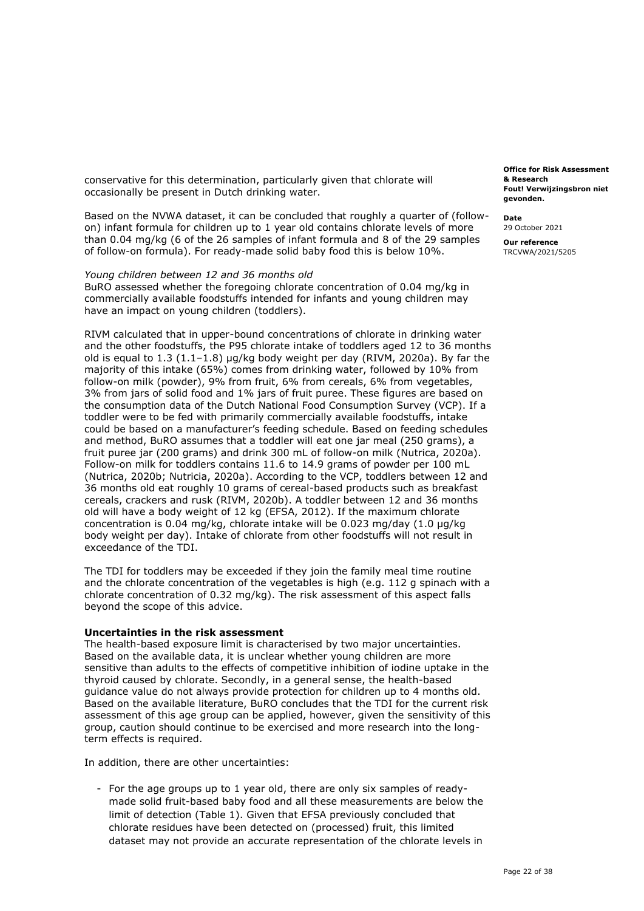conservative for this determination, particularly given that chlorate will occasionally be present in Dutch drinking water.

 Based on the NVWA dataset, it can be concluded that roughly a quarter of (follow- on) infant formula for children up to 1 year old contains chlorate levels of more than 0.04 mg/kg (6 of the 26 samples of infant formula and 8 of the 29 samples of follow-on formula). For ready-made solid baby food this is below 10%.

#### *Young children between 12 and 36 months old*

 BuRO assessed whether the foregoing chlorate concentration of 0.04 mg/kg in commercially available foodstuffs intended for infants and young children may have an impact on young children (toddlers).

 RIVM calculated that in upper-bound concentrations of chlorate in drinking water and the other foodstuffs, the P95 chlorate intake of toddlers aged 12 to 36 months old is equal to 1.3 (1.1–1.8) µg/kg body weight per day (RIVM, 2020a). By far the majority of this intake (65%) comes from drinking water, followed by 10% from follow-on milk (powder), 9% from fruit, 6% from cereals, 6% from vegetables, 3% from jars of solid food and 1% jars of fruit puree. These figures are based on the consumption data of the Dutch National Food Consumption Survey (VCP). If a toddler were to be fed with primarily commercially available foodstuffs, intake could be based on a manufacturer's feeding schedule. Based on feeding schedules and method, BuRO assumes that a toddler will eat one jar meal (250 grams), a fruit puree jar (200 grams) and drink 300 mL of follow-on milk (Nutrica, 2020a). Follow-on milk for toddlers contains 11.6 to 14.9 grams of powder per 100 mL (Nutrica, 2020b; Nutricia, 2020a). According to the VCP, toddlers between 12 and 36 months old eat roughly 10 grams of cereal-based products such as breakfast cereals, crackers and rusk (RIVM, 2020b). A toddler between 12 and 36 months old will have a body weight of 12 kg (EFSA, 2012). If the maximum chlorate concentration is 0.04 mg/kg, chlorate intake will be 0.023 mg/day (1.0 µg/kg body weight per day). Intake of chlorate from other foodstuffs will not result in exceedance of the TDI.

 The TDI for toddlers may be exceeded if they join the family meal time routine and the chlorate concentration of the vegetables is high (e.g. 112 g spinach with a chlorate concentration of 0.32 mg/kg). The risk assessment of this aspect falls beyond the scope of this advice.

#### **Uncertainties in the risk assessment**

 The health-based exposure limit is characterised by two major uncertainties. Based on the available data, it is unclear whether young children are more sensitive than adults to the effects of competitive inhibition of iodine uptake in the thyroid caused by chlorate. Secondly, in a general sense, the health-based guidance value do not always provide protection for children up to 4 months old. Based on the available literature, BuRO concludes that the TDI for the current risk assessment of this age group can be applied, however, given the sensitivity of this group, caution should continue to be exercised and more research into the longterm effects is required.

In addition, there are other uncertainties:

 - For the age groups up to 1 year old, there are only six samples of ready- made solid fruit-based baby food and all these measurements are below the limit of detection (Table 1). Given that EFSA previously concluded that chlorate residues have been detected on (processed) fruit, this limited dataset may not provide an accurate representation of the chlorate levels in

 **Fout! Verwijzingsbron niet Office for Risk Assessment & Research gevonden.** 

**Date** 

29 October 2021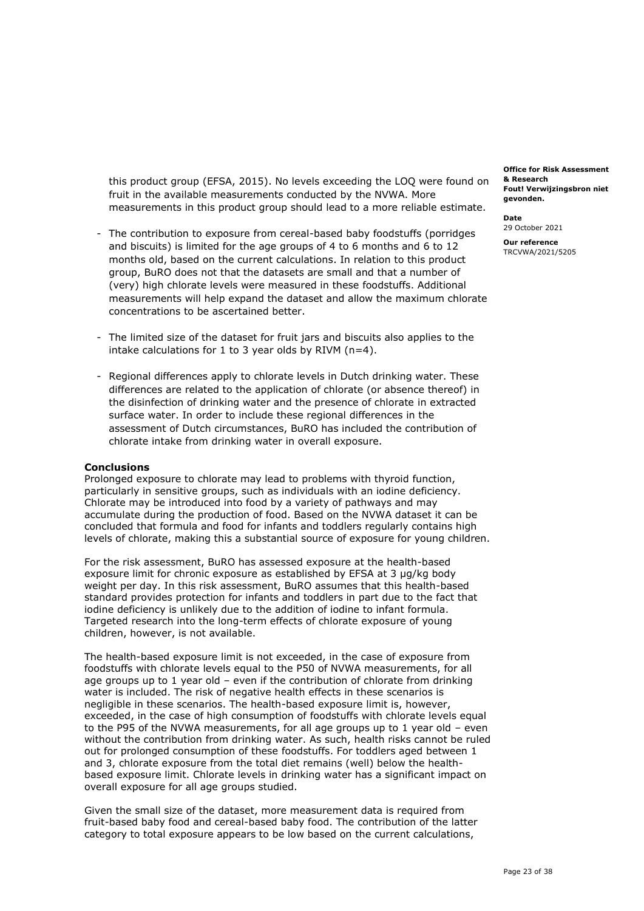fruit in the available measurements conducted by the NVWA. More measurements in this product group should lead to a more reliable estimate. this product group (EFSA, 2015). No levels exceeding the LOQ were found on

- - The contribution to exposure from cereal-based baby foodstuffs (porridges and biscuits) is limited for the age groups of 4 to 6 months and 6 to 12 months old, based on the current calculations. In relation to this product group, BuRO does not that the datasets are small and that a number of (very) high chlorate levels were measured in these foodstuffs. Additional measurements will help expand the dataset and allow the maximum chlorate concentrations to be ascertained better.
- - The limited size of the dataset for fruit jars and biscuits also applies to the intake calculations for 1 to 3 year olds by RIVM (n=4).
- - Regional differences apply to chlorate levels in Dutch drinking water. These differences are related to the application of chlorate (or absence thereof) in the disinfection of drinking water and the presence of chlorate in extracted surface water. In order to include these regional differences in the assessment of Dutch circumstances, BuRO has included the contribution of chlorate intake from drinking water in overall exposure.

#### **Conclusions**

 Prolonged exposure to chlorate may lead to problems with thyroid function, particularly in sensitive groups, such as individuals with an iodine deficiency. Chlorate may be introduced into food by a variety of pathways and may accumulate during the production of food. Based on the NVWA dataset it can be concluded that formula and food for infants and toddlers regularly contains high levels of chlorate, making this a substantial source of exposure for young children.

 For the risk assessment, BuRO has assessed exposure at the health-based exposure limit for chronic exposure as established by EFSA at 3 µg/kg body weight per day. In this risk assessment, BuRO assumes that this health-based standard provides protection for infants and toddlers in part due to the fact that iodine deficiency is unlikely due to the addition of iodine to infant formula. Targeted research into the long-term effects of chlorate exposure of young children, however, is not available.

 The health-based exposure limit is not exceeded, in the case of exposure from foodstuffs with chlorate levels equal to the P50 of NVWA measurements, for all age groups up to 1 year old – even if the contribution of chlorate from drinking water is included. The risk of negative health effects in these scenarios is negligible in these scenarios. The health-based exposure limit is, however, exceeded, in the case of high consumption of foodstuffs with chlorate levels equal to the P95 of the NVWA measurements, for all age groups up to 1 year old – even without the contribution from drinking water. As such, health risks cannot be ruled out for prolonged consumption of these foodstuffs. For toddlers aged between 1 and 3, chlorate exposure from the total diet remains (well) below the health- based exposure limit. Chlorate levels in drinking water has a significant impact on overall exposure for all age groups studied.

 Given the small size of the dataset, more measurement data is required from fruit-based baby food and cereal-based baby food. The contribution of the latter category to total exposure appears to be low based on the current calculations,

 **Fout! Verwijzingsbron niet Office for Risk Assessment & Research gevonden.** 

**Date**  29 October 2021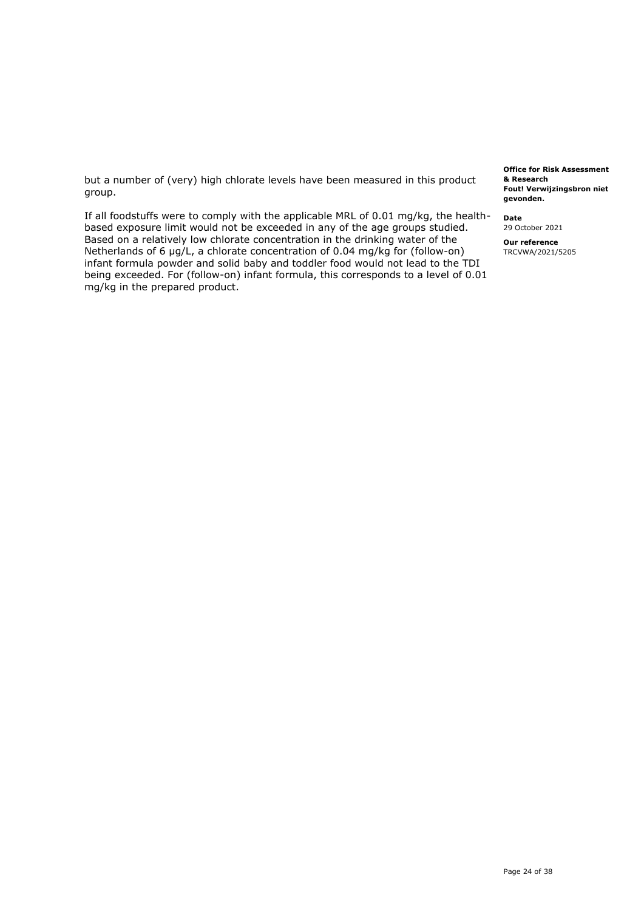but a number of (very) high chlorate levels have been measured in this product group.

 If all foodstuffs were to comply with the applicable MRL of 0.01 mg/kg, the health- based exposure limit would not be exceeded in any of the age groups studied. Based on a relatively low chlorate concentration in the drinking water of the Netherlands of 6 µg/L, a chlorate concentration of 0.04 mg/kg for (follow-on) infant formula powder and solid baby and toddler food would not lead to the TDI being exceeded. For (follow-on) infant formula, this corresponds to a level of 0.01 mg/kg in the prepared product.

 **Fout! Verwijzingsbron niet Office for Risk Assessment & Research gevonden.** 

**Date** 

29 October 2021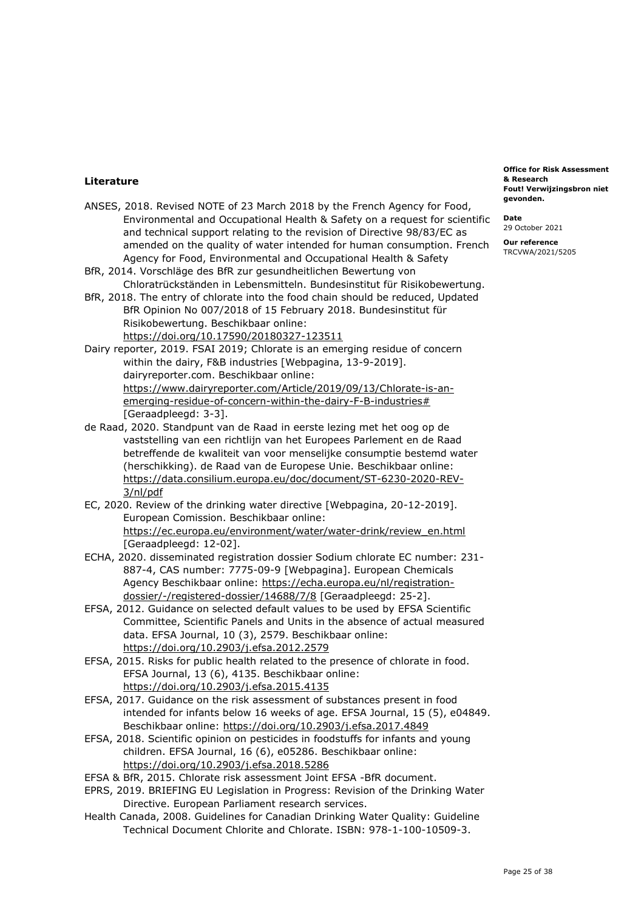## **Literature**

- ANSES, 2018. Revised NOTE of 23 March 2018 by the French Agency for Food, Environmental and Occupational Health & Safety on a request for scientific and technical support relating to the revision of Directive 98/83/EC as amended on the quality of water intended for human consumption. French Agency for Food, Environmental and Occupational Health & Safety
- BfR, 2014. Vorschläge des BfR zur gesundheitlichen Bewertung von Chloratrückständen in Lebensmitteln. Bundesinstitut für Risikobewertung.
- BfR, 2018. The entry of chlorate into the food chain should be reduced, Updated BfR Opinion No 007/2018 of 15 February 2018. Bundesinstitut für Risikobewertung. Beschikbaar online: <https://doi.org/10.17590/20180327-123511>
- Dairy reporter, 2019. FSAI 2019; Chlorate is an emerging residue of concern within the dairy, F&B industries [Webpagina, 13-9-2019]. [dairyreporter.com.](https://dairyreporter.com) Beschikbaar online: [https://www.dairyreporter.com/Article/2019/09/13/Chlorate-is-an](https://www.dairyreporter.com/Article/2019/09/13/Chlorate-is-an-emerging-residue-of-concern-within-the-dairy-F-B-industries)[emerging-residue-of-concern-within-the-dairy-F-B-industries#](https://www.dairyreporter.com/Article/2019/09/13/Chlorate-is-an-emerging-residue-of-concern-within-the-dairy-F-B-industries)  [Geraadpleegd: 3-3].
- de Raad, 2020. Standpunt van de Raad in eerste lezing met het oog op de vaststelling van een richtlijn van het Europees Parlement en de Raad betreffende de kwaliteit van voor menselijke consumptie bestemd water (herschikking). de Raad van de Europese Unie. Beschikbaar online: [https://data.consilium.europa.eu/doc/document/ST-6230-2020-REV-](https://data.consilium.europa.eu/doc/document/ST-6230-2020-REV-3/nl/pdf)[3/nl/pdf](https://data.consilium.europa.eu/doc/document/ST-6230-2020-REV-3/nl/pdf)
- EC, 2020. Review of the drinking water directive [Webpagina, 20-12-2019]. European Comission. Beschikbaar online: [https://ec.europa.eu/environment/water/water-drink/review\\_en.html](https://ec.europa.eu/environment/water/water-drink/review_en.html)  [Geraadpleegd: 12-02].
- ECHA, 2020. disseminated registration dossier Sodium chlorate EC number: 231- 887-4, CAS number: 7775-09-9 [Webpagina]. European Chemicals Agency Beschikbaar online: [https://echa.europa.eu/nl/registration](https://echa.europa.eu/nl/registration-dossier/-/registered-dossier/14688/7/8)[dossier/-/registered-dossier/14688/7/8](https://echa.europa.eu/nl/registration-dossier/-/registered-dossier/14688/7/8) [Geraadpleegd: 25-2].
- EFSA, 2012. Guidance on selected default values to be used by EFSA Scientific Committee, Scientific Panels and Units in the absence of actual measured data. EFSA Journal, 10 (3), 2579. Beschikbaar online: <https://doi.org/10.2903/j.efsa.2012.2579>
- EFSA, 2015. Risks for public health related to the presence of chlorate in food. EFSA Journal, 13 (6), 4135. Beschikbaar online: <https://doi.org/10.2903/j.efsa.2015.4135>
- EFSA, 2017. Guidance on the risk assessment of substances present in food intended for infants below 16 weeks of age. EFSA Journal, 15 (5), e04849. Beschikbaar online:<https://doi.org/10.2903/j.efsa.2017.4849>
- EFSA, 2018. Scientific opinion on pesticides in foodstuffs for infants and young children. EFSA Journal, 16 (6), e05286. Beschikbaar online: <https://doi.org/10.2903/j.efsa.2018.5286>
- EFSA & BfR, 2015. Chlorate risk assessment Joint EFSA -BfR document.
- EPRS, 2019. BRIEFING EU Legislation in Progress: Revision of the Drinking Water Directive. European Parliament research services.
- Health Canada, 2008. Guidelines for Canadian Drinking Water Quality: Guideline Technical Document Chlorite and Chlorate. ISBN: 978-1-100-10509-3.

 **Fout! Verwijzingsbron niet Office for Risk Assessment & Research gevonden.** 

**Date**  29 October 2021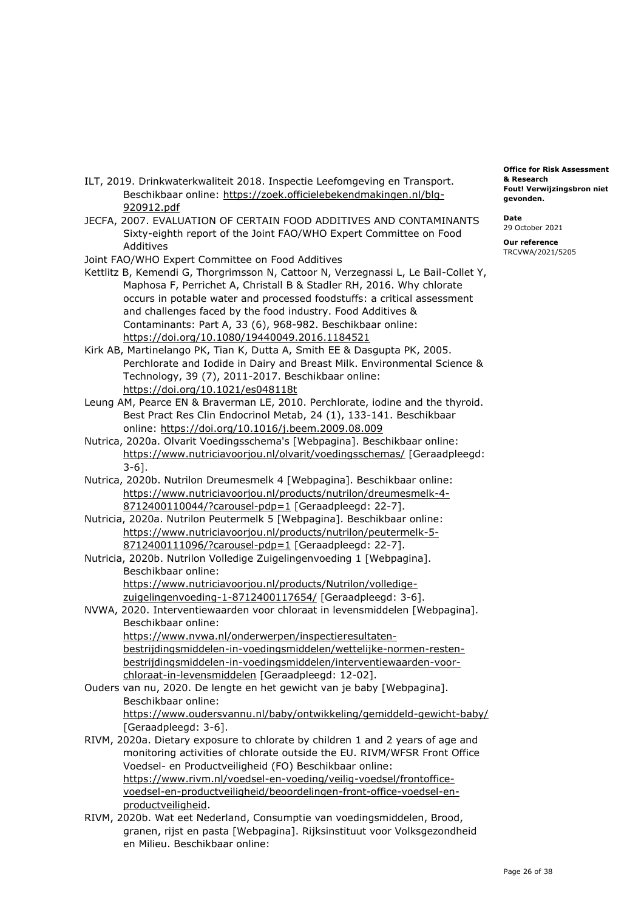- ILT, 2019. Drinkwaterkwaliteit 2018. Inspectie Leefomgeving en Transport. Beschikbaar online: [https://zoek.officielebekendmakingen.nl/blg-](https://zoek.officielebekendmakingen.nl/blg-920912.pdf)[920912.pdf](https://zoek.officielebekendmakingen.nl/blg-920912.pdf)
- JECFA, 2007. EVALUATION OF CERTAIN FOOD ADDITIVES AND CONTAMINANTS Sixty-eighth report of the Joint FAO/WHO Expert Committee on Food Additives
- Joint FAO/WHO Expert Committee on Food Additives
- Kettlitz B, Kemendi G, Thorgrimsson N, Cattoor N, Verzegnassi L, Le Bail-Collet Y, Maphosa F, Perrichet A, Christall B & Stadler RH, 2016. Why chlorate occurs in potable water and processed foodstuffs: a critical assessment and challenges faced by the food industry. Food Additives & Contaminants: Part A, 33 (6), 968-982. Beschikbaar online: <https://doi.org/10.1080/19440049.2016.1184521>
- Kirk AB, Martinelango PK, Tian K, Dutta A, Smith EE & Dasgupta PK, 2005. Perchlorate and Iodide in Dairy and Breast Milk. Environmental Science & Technology, 39 (7), 2011-2017. Beschikbaar online: <https://doi.org/10.1021/es048118t>
- Leung AM, Pearce EN & Braverman LE, 2010. Perchlorate, iodine and the thyroid. Best Pract Res Clin Endocrinol Metab, 24 (1), 133-141. Beschikbaar online:<https://doi.org/10.1016/j.beem.2009.08.009>
- Nutrica, 2020a. Olvarit Voedingsschema's [Webpagina]. Beschikbaar online: <https://www.nutriciavoorjou.nl/olvarit/voedingsschemas/>[Geraadpleegd: 3-6].
- Nutrica, 2020b. Nutrilon Dreumesmelk 4 [Webpagina]. Beschikbaar online: [https://www.nutriciavoorjou.nl/products/nutrilon/dreumesmelk-4-](https://www.nutriciavoorjou.nl/products/nutrilon/dreumesmelk-4-8712400110044/?carousel-pdp=1) [8712400110044/?carousel-pdp=1](https://www.nutriciavoorjou.nl/products/nutrilon/dreumesmelk-4-8712400110044/?carousel-pdp=1) [Geraadpleegd: 22-7].
- Nutricia, 2020a. Nutrilon Peutermelk 5 [Webpagina]. Beschikbaar online: [https://www.nutriciavoorjou.nl/products/nutrilon/peutermelk-5-](https://www.nutriciavoorjou.nl/products/nutrilon/peutermelk-5-8712400111096/?carousel-pdp=1) [8712400111096/?carousel-pdp=1](https://www.nutriciavoorjou.nl/products/nutrilon/peutermelk-5-8712400111096/?carousel-pdp=1) [Geraadpleegd: 22-7].
- Nutricia, 2020b. Nutrilon Volledige Zuigelingenvoeding 1 [Webpagina]. Beschikbaar online: [https://www.nutriciavoorjou.nl/products/Nutrilon/volledige](https://www.nutriciavoorjou.nl/products/Nutrilon/volledige-zuigelingenvoeding-1-8712400117654/)[zuigelingenvoeding-1-8712400117654/](https://www.nutriciavoorjou.nl/products/Nutrilon/volledige-zuigelingenvoeding-1-8712400117654/) [Geraadpleegd: 3-6].
- NVWA, 2020. Interventiewaarden voor chloraat in levensmiddelen [Webpagina]. Beschikbaar online: [https://www.nvwa.nl/onderwerpen/inspectieresultaten](https://www.nvwa.nl/onderwerpen/inspectieresultaten-bestrijdingsmiddelen-in-voedingsmiddelen/wettelijke-normen-resten-bestrijdingsmiddelen-in-voedingsmiddelen/interventiewaarden-voor-chloraat-in-levensmiddelen)[bestrijdingsmiddelen-in-voedingsmiddelen/wettelijke-normen-resten](https://www.nvwa.nl/onderwerpen/inspectieresultaten-bestrijdingsmiddelen-in-voedingsmiddelen/wettelijke-normen-resten-bestrijdingsmiddelen-in-voedingsmiddelen/interventiewaarden-voor-chloraat-in-levensmiddelen)[bestrijdingsmiddelen-in-voedingsmiddelen/interventiewaarden-voor-](https://www.nvwa.nl/onderwerpen/inspectieresultaten-bestrijdingsmiddelen-in-voedingsmiddelen/wettelijke-normen-resten-bestrijdingsmiddelen-in-voedingsmiddelen/interventiewaarden-voor-chloraat-in-levensmiddelen)
- Ouders van nu, 2020. De lengte en het gewicht van je baby [Webpagina]. [chloraat-in-levensmiddelen](https://www.nvwa.nl/onderwerpen/inspectieresultaten-bestrijdingsmiddelen-in-voedingsmiddelen/wettelijke-normen-resten-bestrijdingsmiddelen-in-voedingsmiddelen/interventiewaarden-voor-chloraat-in-levensmiddelen) [Geraadpleegd: 12-02]. Beschikbaar online: <https://www.oudersvannu.nl/baby/ontwikkeling/gemiddeld-gewicht-baby/> [Geraadpleegd: 3-6].
- RIVM, 2020a. Dietary exposure to chlorate by children 1 and 2 years of age and monitoring activities of chlorate outside the EU. RIVM/WFSR Front Office Voedsel- en Productveiligheid (FO) Beschikbaar online: [https://www.rivm.nl/voedsel-en-voeding/veilig-voedsel/frontoffice](https://www.rivm.nl/voedsel-en-voeding/veilig-voedsel/frontoffice-voedsel-en-productveiligheid/beoordelingen-front-office-voedsel-en-productveiligheid)[voedsel-en-productveiligheid/beoordelingen-front-office-voedsel-en](https://www.rivm.nl/voedsel-en-voeding/veilig-voedsel/frontoffice-voedsel-en-productveiligheid/beoordelingen-front-office-voedsel-en-productveiligheid)[productveiligheid.](https://www.rivm.nl/voedsel-en-voeding/veilig-voedsel/frontoffice-voedsel-en-productveiligheid/beoordelingen-front-office-voedsel-en-productveiligheid)
- RIVM, 2020b. Wat eet Nederland, Consumptie van voedingsmiddelen, Brood, granen, rijst en pasta [Webpagina]. Rijksinstituut voor Volksgezondheid en Milieu. Beschikbaar online:

 **Fout! Verwijzingsbron niet Office for Risk Assessment & Research gevonden.** 

**Date**  29 October 2021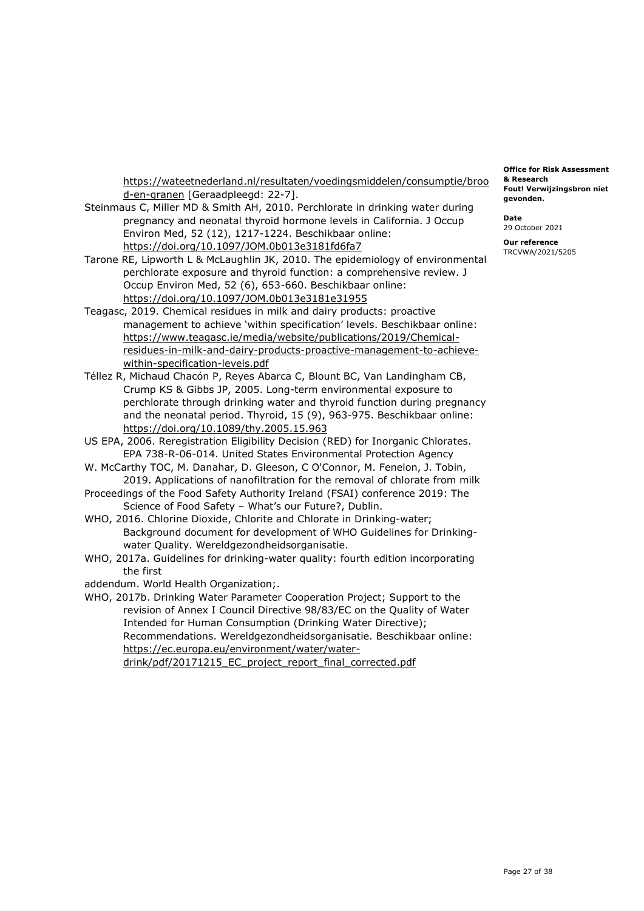[https://wateetnederland.nl/resultaten/voedingsmiddelen/consumptie/broo](https://wateetnederland.nl/resultaten/voedingsmiddelen/consumptie/brood-en-granen)  [d-en-granen](https://wateetnederland.nl/resultaten/voedingsmiddelen/consumptie/brood-en-granen) [Geraadpleegd: 22-7].

- Steinmaus C, Miller MD & Smith AH, 2010. Perchlorate in drinking water during pregnancy and neonatal thyroid hormone levels in California. J Occup Environ Med, 52 (12), 1217-1224. Beschikbaar online: <https://doi.org/10.1097/JOM.0b013e3181fd6fa7>
- Tarone RE, Lipworth L & McLaughlin JK, 2010. The epidemiology of environmental perchlorate exposure and thyroid function: a comprehensive review. J Occup Environ Med, 52 (6), 653-660. Beschikbaar online: <https://doi.org/10.1097/JOM.0b013e3181e31955>
- Teagasc, 2019. Chemical residues in milk and dairy products: proactive management to achieve 'within specification' levels. Beschikbaar online: [https://www.teagasc.ie/media/website/publications/2019/Chemical](https://www.teagasc.ie/media/website/publications/2019/Chemical-residues-in-milk-and-dairy-products-proactive-management-to-achieve-within-specification-levels.pdf)[residues-in-milk-and-dairy-products-proactive-management-to-achieve](https://www.teagasc.ie/media/website/publications/2019/Chemical-residues-in-milk-and-dairy-products-proactive-management-to-achieve-within-specification-levels.pdf)[within-specification-levels.pdf](https://www.teagasc.ie/media/website/publications/2019/Chemical-residues-in-milk-and-dairy-products-proactive-management-to-achieve-within-specification-levels.pdf)
- Téllez R, Michaud Chacón P, Reyes Abarca C, Blount BC, Van Landingham CB, Crump KS & Gibbs JP, 2005. Long-term environmental exposure to perchlorate through drinking water and thyroid function during pregnancy and the neonatal period. Thyroid, 15 (9), 963-975. Beschikbaar online: <https://doi.org/10.1089/thy.2005.15.963>
- US EPA, 2006. Reregistration Eligibility Decision (RED) for Inorganic Chlorates. EPA 738-R-06-014. United States Environmental Protection Agency
- W. McCarthy TOC, M. Danahar, D. Gleeson, C O'Connor, M. Fenelon, J. Tobin, 2019. Applications of nanofiltration for the removal of chlorate from milk
- Proceedings of the Food Safety Authority Ireland (FSAI) conference 2019: The Science of Food Safety – What's our Future?, Dublin.

 WHO, 2016. Chlorine Dioxide, Chlorite and Chlorate in Drinking-water; Background document for development of WHO Guidelines for Drinkingwater Quality. Wereldgezondheidsorganisatie.

- WHO, 2017a. Guidelines for drinking-water quality: fourth edition incorporating the first
- addendum. World Health Organization;.
- WHO, 2017b. Drinking Water Parameter Cooperation Project; Support to the revision of Annex I Council Directive 98/83/EC on the Quality of Water Intended for Human Consumption (Drinking Water Directive); Recommendations. Wereldgezondheidsorganisatie. Beschikbaar online: [https://ec.europa.eu/environment/water/water](https://ec.europa.eu/environment/water/water-drink/pdf/20171215_EC_project_report_final_corrected.pdf)drink/pdf/20171215\_EC\_project\_report\_final\_corrected.pdf

 **Fout! Verwijzingsbron niet Office for Risk Assessment & Research gevonden.** 

**Date**  29 October 2021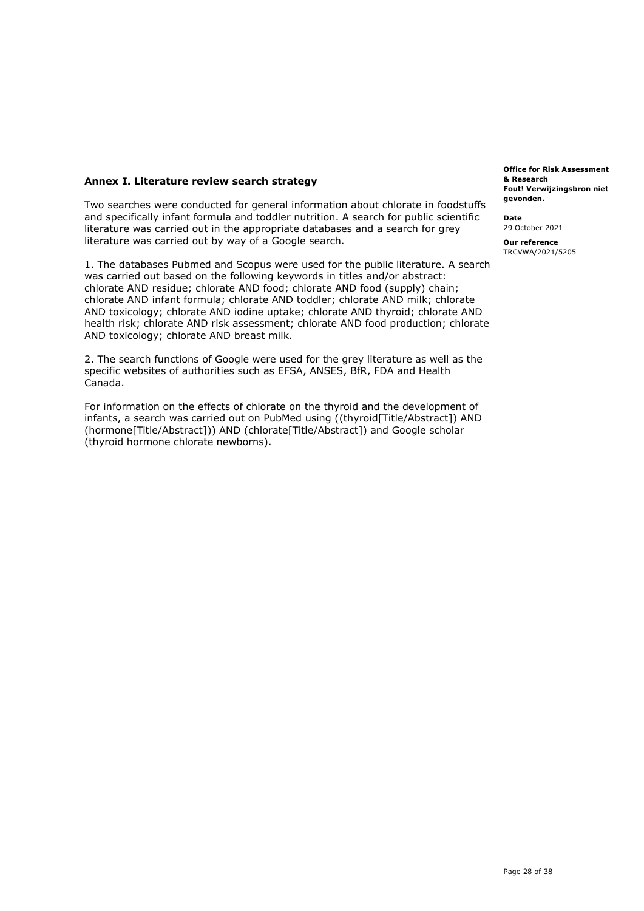## **Annex I. Literature review search strategy**

 Two searches were conducted for general information about chlorate in foodstuffs and specifically infant formula and toddler nutrition. A search for public scientific literature was carried out in the appropriate databases and a search for grey literature was carried out by way of a Google search.

 1. The databases Pubmed and Scopus were used for the public literature. A search was carried out based on the following keywords in titles and/or abstract: chlorate AND residue; chlorate AND food; chlorate AND food (supply) chain; health risk; chlorate AND risk assessment; chlorate AND food production; chlorate chlorate AND infant formula; chlorate AND toddler; chlorate AND milk; chlorate AND toxicology; chlorate AND iodine uptake; chlorate AND thyroid; chlorate AND AND toxicology; chlorate AND breast milk.

 2. The search functions of Google were used for the grey literature as well as the specific websites of authorities such as EFSA, ANSES, BfR, FDA and Health Canada.

 For information on the effects of chlorate on the thyroid and the development of infants, a search was carried out on PubMed using ((thyroid[Title/Abstract]) AND (hormone[Title/Abstract])) AND (chlorate[Title/Abstract]) and Google scholar (thyroid hormone chlorate newborns).

 **Fout! Verwijzingsbron niet Office for Risk Assessment & Research gevonden.** 

**Date** 

29 October 2021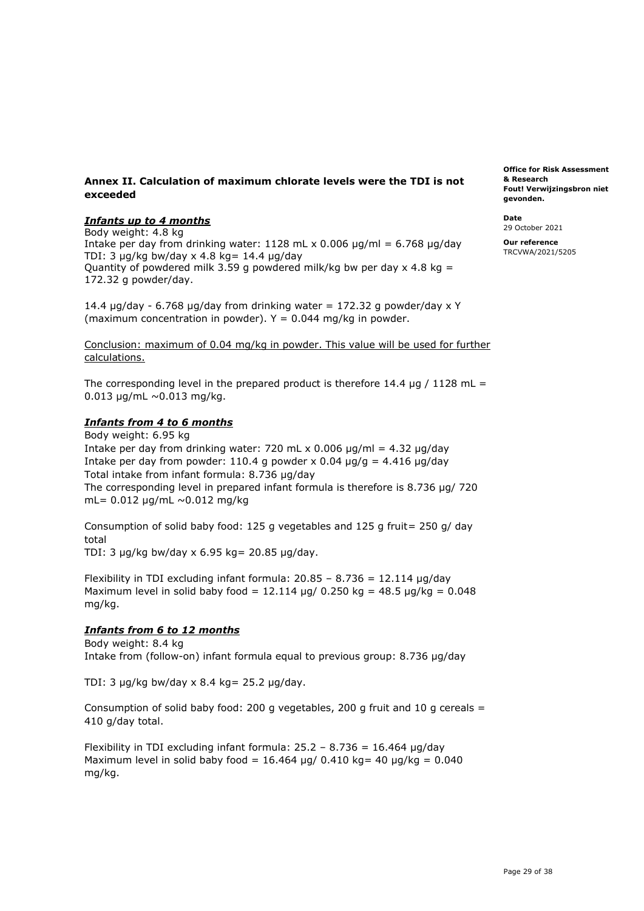## **Annex II. Calculation of maximum chlorate levels were the TDI is not & Research exceeded Fout! Verwijzingsbron niet**

## *Infants up to 4 months* **Date**

 Intake per day from drinking water: 1128 mL x 0.006 µg/ml = 6.768 µg/day **Our reference**  TDI: 3  $\mu$ g/kg bw/day x 4.8 kg = 14.4  $\mu$ g/day Quantity of powdered milk 3.59 g powdered milk/kg bw per day  $\times$  4.8 kg = 172.32 g powder/day.  $\frac{1}{2}$  29 October 2021<br>Body weight: 4.8 kg<br>Intake por day from dripking water: 1128 ml × 0.006 ug/ml = 6.768 ug/day sour reference

14.4  $\mu$ g/day - 6.768  $\mu$ g/day from drinking water = 172.32 g powder/day x Y (maximum concentration in powder).  $Y = 0.044$  mg/kg in powder.

 Conclusion: maximum of 0.04 mg/kg in powder. This value will be used for further calculations.

The corresponding level in the prepared product is therefore 14.4  $\mu$ g / 1128 mL =  $0.013 \mu g/mL \sim 0.013 \mu g/kg$ .

## *Infants from 4 to 6 months*

Intake per day from drinking water: 720 mL x 0.006  $\mu$ g/ml = 4.32  $\mu$ g/day Intake per day from powder: 110.4 g powder x 0.04  $\mu$ g/g = 4.416  $\mu$ g/day Total intake from infant formula: 8.736 µg/day The corresponding level in prepared infant formula is therefore is 8.736 µg/ 720 mL= 0.012 µg/mL ~0.012 mg/kg Body weight: 6.95 kg

 Consumption of solid baby food: 125 g vegetables and 125 g fruit= 250 g/ day total

TDI: 3 µg/kg bw/day x 6.95 kg= 20.85 µg/day.

Flexibility in TDI excluding infant formula:  $20.85 - 8.736 = 12.114 \mu g/day$ Maximum level in solid baby food =  $12.114$  µg/ 0.250 kg =  $48.5$  µg/kg = 0.048 mg/kg.

## *Infants from 6 to 12 months*

 Intake from (follow-on) infant formula equal to previous group: 8.736 µg/day Body weight: 8.4 kg

TDI: 3 µg/kg bw/day x 8.4 kg= 25.2 µg/day.

 Consumption of solid baby food: 200 g vegetables, 200 g fruit and 10 g cereals = 410 g/day total.

Flexibility in TDI excluding infant formula:  $25.2 - 8.736 = 16.464 \mu g/day$ Maximum level in solid baby food =  $16.464$  µg/ 0.410 kg= 40 µg/kg = 0.040 mg/kg.

**Fout! Verwiizingsbron niet Office for Risk Assessment gevonden.**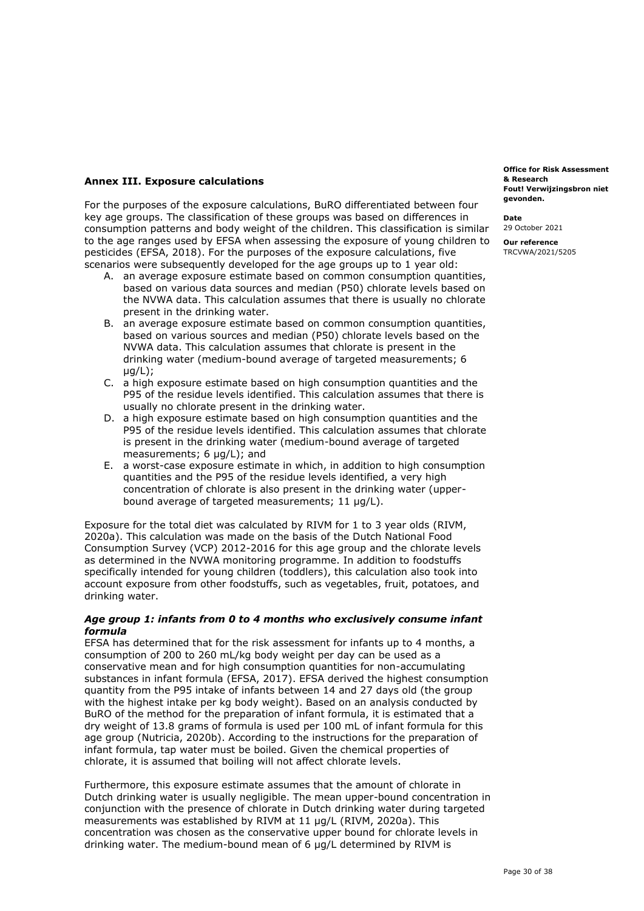## **Annex III. Exposure calculations**

 For the purposes of the exposure calculations, BuRO differentiated between four key age groups. The classification of these groups was based on differences in consumption patterns and body weight of the children. This classification is similar to the age ranges used by EFSA when assessing the exposure of young children to pesticides (EFSA, 2018). For the purposes of the exposure calculations, five scenarios were subsequently developed for the age groups up to 1 year old:

- A. an average exposure estimate based on common consumption quantities, based on various data sources and median (P50) chlorate levels based on the NVWA data. This calculation assumes that there is usually no chlorate present in the drinking water.
- B. an average exposure estimate based on common consumption quantities, based on various sources and median (P50) chlorate levels based on the NVWA data. This calculation assumes that chlorate is present in the drinking water (medium-bound average of targeted measurements; 6 µg/L);
- C. a high exposure estimate based on high consumption quantities and the P95 of the residue levels identified. This calculation assumes that there is usually no chlorate present in the drinking water.
- D. a high exposure estimate based on high consumption quantities and the P95 of the residue levels identified. This calculation assumes that chlorate is present in the drinking water (medium-bound average of targeted measurements; 6 µg/L); and
- E. a worst-case exposure estimate in which, in addition to high consumption quantities and the P95 of the residue levels identified, a very high concentration of chlorate is also present in the drinking water (upper-bound average of targeted measurements; 11 µg/L).

 Exposure for the total diet was calculated by RIVM for 1 to 3 year olds (RIVM, 2020a). This calculation was made on the basis of the Dutch National Food Consumption Survey (VCP) 2012-2016 for this age group and the chlorate levels as determined in the NVWA monitoring programme. In addition to foodstuffs specifically intended for young children (toddlers), this calculation also took into account exposure from other foodstuffs, such as vegetables, fruit, potatoes, and drinking water.

## *Age group 1: infants from 0 to 4 months who exclusively consume infant formula*

 EFSA has determined that for the risk assessment for infants up to 4 months, a consumption of 200 to 260 mL/kg body weight per day can be used as a conservative mean and for high consumption quantities for non-accumulating substances in infant formula (EFSA, 2017). EFSA derived the highest consumption quantity from the P95 intake of infants between 14 and 27 days old (the group with the highest intake per kg body weight). Based on an analysis conducted by BuRO of the method for the preparation of infant formula, it is estimated that a dry weight of 13.8 grams of formula is used per 100 mL of infant formula for this age group (Nutricia, 2020b). According to the instructions for the preparation of infant formula, tap water must be boiled. Given the chemical properties of chlorate, it is assumed that boiling will not affect chlorate levels.

 Furthermore, this exposure estimate assumes that the amount of chlorate in Dutch drinking water is usually negligible. The mean upper-bound concentration in conjunction with the presence of chlorate in Dutch drinking water during targeted measurements was established by RIVM at 11 µg/L (RIVM, 2020a). This concentration was chosen as the conservative upper bound for chlorate levels in drinking water. The medium-bound mean of 6 µg/L determined by RIVM is

 **Fout! Verwijzingsbron niet Office for Risk Assessment & Research gevonden.** 

**Date** 

29 October 2021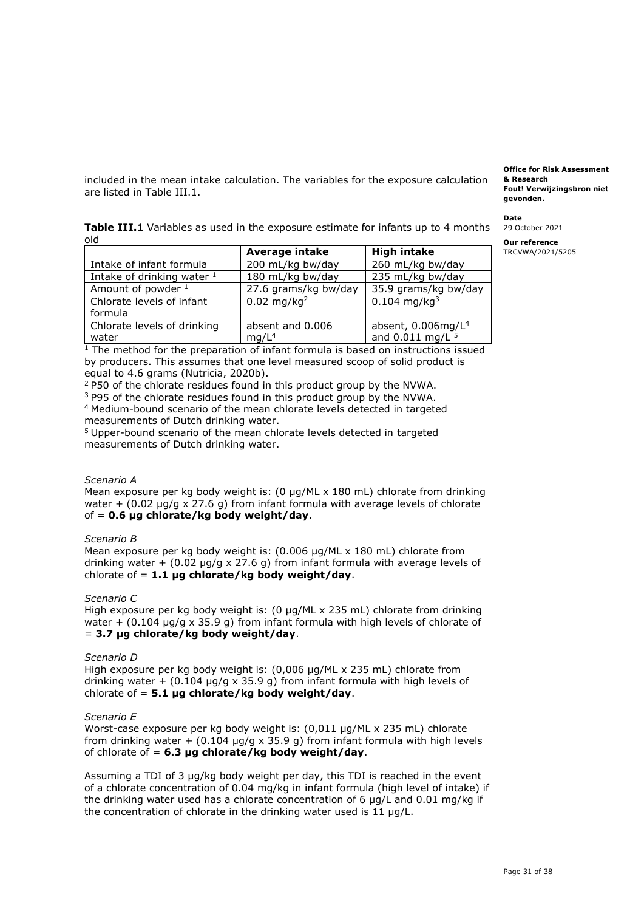included in the mean intake calculation. The variables for the exposure calculation are listed in Table III.1.

|     | <b>Table III.1</b> Variables as used in the exposure estimate for infants up to 4 months 29 October 202 |
|-----|---------------------------------------------------------------------------------------------------------|
| old | <b>Our reference</b>                                                                                    |

|                              | Average intake            | <b>High intake</b>         |
|------------------------------|---------------------------|----------------------------|
| Intake of infant formula     | 200 mL/kg bw/day          | 260 mL/kg bw/day           |
| Intake of drinking water $1$ | 180 mL/kg bw/day          | 235 mL/kg bw/day           |
| Amount of powder 1           | 27.6 grams/kg bw/day      | 35.9 grams/kg bw/day       |
| Chlorate levels of infant    | $0.02 \,\mathrm{mg/kg^2}$ | $0.104$ mg/kg <sup>3</sup> |
| formula                      |                           |                            |
| Chlorate levels of drinking  | absent and 0.006          | absent, $0.006$ mg/ $L4$   |
| water                        | mq/L <sup>4</sup>         | and 0.011 mg/L 5           |

 $1$  The method for the preparation of infant formula is based on instructions issued by producers. This assumes that one level measured scoop of solid product is equal to 4.6 grams (Nutricia, 2020b). equal to 4.6 grams (Nutricia, 2020b).<br><sup>2</sup> P50 of the chlorate residues found in this product group by the NVWA.

<sup>3</sup> P95 of the chlorate residues found in this product group by the NVWA. 4 Medium-bound scenario of the mean chlorate levels detected in targeted measurements of Dutch drinking water.

<sup>5</sup> Upper-bound scenario of the mean chlorate levels detected in targeted measurements of Dutch drinking water.

## *Scenario A*

 Mean exposure per kg body weight is: (0 µg/ML x 180 mL) chlorate from drinking water  $+$  (0.02  $\mu$ g/g x 27.6 g) from infant formula with average levels of chlorate of = **0.6 µg chlorate/kg body weight/day**.

## *Scenario B*

 Mean exposure per kg body weight is: (0.006 µg/ML x 180 mL) chlorate from drinking water + (0.02 µg/g x 27.6 g) from infant formula with average levels of chlorate of = **1.1 µg chlorate/kg body weight/day**.

## *Scenario C*

 High exposure per kg body weight is: (0 µg/ML x 235 mL) chlorate from drinking water +  $(0.104 \mu g/g \times 35.9 g)$  from infant formula with high levels of chlorate of  = **3.7 µg chlorate/kg body weight/day**.

#### *Scenario D*

 High exposure per kg body weight is: (0,006 µg/ML x 235 mL) chlorate from drinking water +  $(0.104 \text{ µg/g} \times 35.9 \text{ g})$  from infant formula with high levels of chlorate of = **5.1 µg chlorate/kg body weight/day**.

## *Scenario E*

 Worst-case exposure per kg body weight is: (0,011 µg/ML x 235 mL) chlorate from drinking water  $+$  (0.104  $\mu$ g/g x 35.9 g) from infant formula with high levels of chlorate of = **6.3 µg chlorate/kg body weight/day**.

 Assuming a TDI of 3 µg/kg body weight per day, this TDI is reached in the event of a chlorate concentration of 0.04 mg/kg in infant formula (high level of intake) if the drinking water used has a chlorate concentration of 6  $\mu$ g/L and 0.01 mg/kg if the concentration of chlorate in the drinking water used is 11 µg/L.

 **Fout! Verwijzingsbron niet Office for Risk Assessment & Research gevonden.** 

**Date** 

**29 October 2021** 

TRCVWA/2021/5205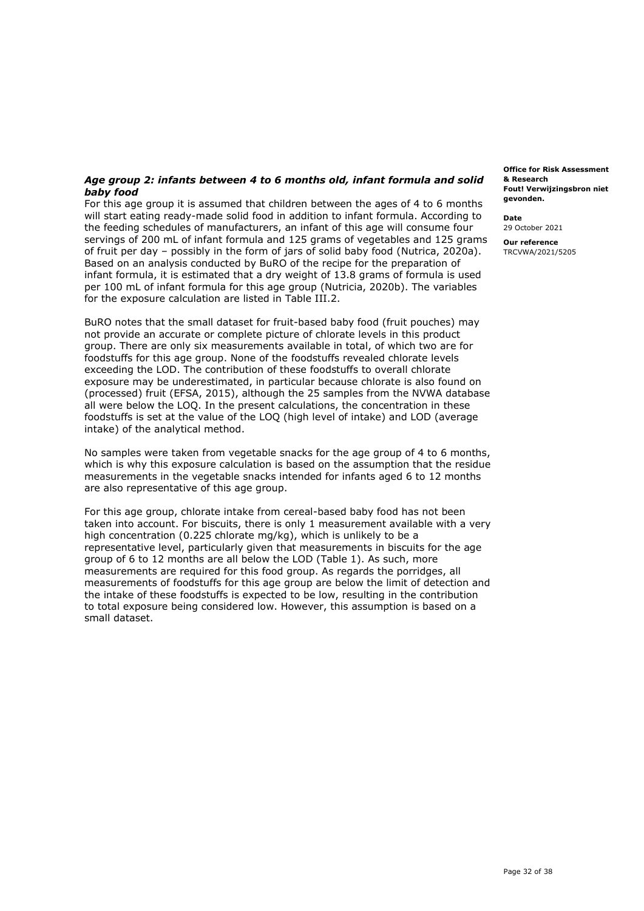## *Age group 2: infants between 4 to 6 months old, infant formula and solid baby food*

 For this age group it is assumed that children between the ages of 4 to 6 months will start eating ready-made solid food in addition to infant formula. According to the feeding schedules of manufacturers, an infant of this age will consume four servings of 200 mL of infant formula and 125 grams of vegetables and 125 grams of fruit per day – possibly in the form of jars of solid baby food (Nutrica, 2020a). Based on an analysis conducted by BuRO of the recipe for the preparation of infant formula, it is estimated that a dry weight of 13.8 grams of formula is used per 100 mL of infant formula for this age group (Nutricia, 2020b). The variables for the exposure calculation are listed in Table III.2.

 BuRO notes that the small dataset for fruit-based baby food (fruit pouches) may not provide an accurate or complete picture of chlorate levels in this product group. There are only six measurements available in total, of which two are for foodstuffs for this age group. None of the foodstuffs revealed chlorate levels exceeding the LOD. The contribution of these foodstuffs to overall chlorate exposure may be underestimated, in particular because chlorate is also found on (processed) fruit (EFSA, 2015), although the 25 samples from the NVWA database all were below the LOQ. In the present calculations, the concentration in these foodstuffs is set at the value of the LOQ (high level of intake) and LOD (average intake) of the analytical method.

 No samples were taken from vegetable snacks for the age group of 4 to 6 months, which is why this exposure calculation is based on the assumption that the residue measurements in the vegetable snacks intended for infants aged 6 to 12 months are also representative of this age group.

 For this age group, chlorate intake from cereal-based baby food has not been taken into account. For biscuits, there is only 1 measurement available with a very high concentration (0.225 chlorate mg/kg), which is unlikely to be a representative level, particularly given that measurements in biscuits for the age group of 6 to 12 months are all below the LOD (Table 1). As such, more measurements are required for this food group. As regards the porridges, all measurements of foodstuffs for this age group are below the limit of detection and the intake of these foodstuffs is expected to be low, resulting in the contribution to total exposure being considered low. However, this assumption is based on a small dataset.

 **Fout! Verwijzingsbron niet Office for Risk Assessment & Research gevonden.** 

**Date** 

29 October 2021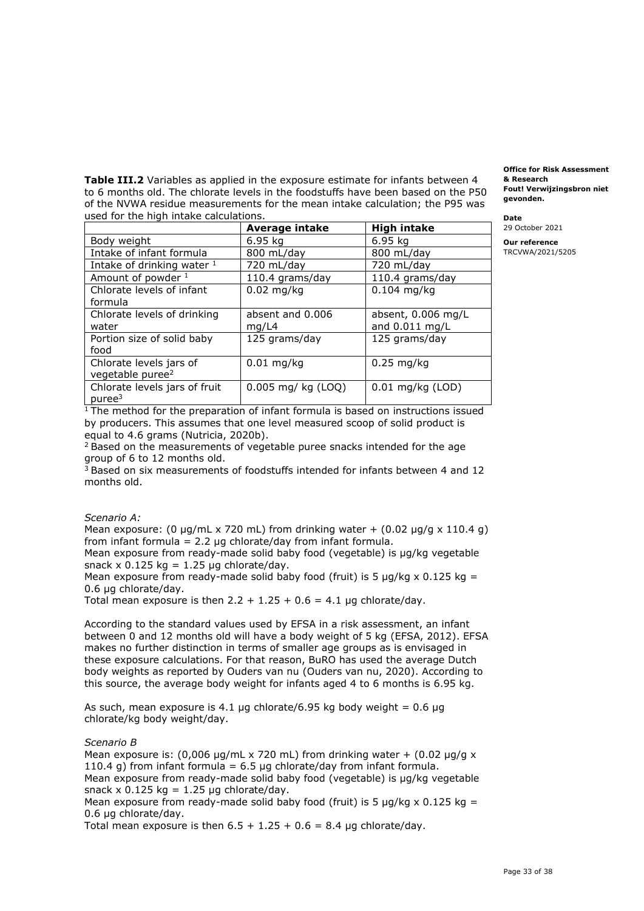**Table III.2** Variables as applied in the exposure estimate for infants between 4 to 6 months old. The chlorate levels in the foodstuffs have been based on the P50 **gevonden.** of the NVWA residue measurements for the mean intake calculation; the P95 was used for the high intake calculations. **Date** 

|                               | <b>Average intake</b> | <b>High intake</b> |
|-------------------------------|-----------------------|--------------------|
| Body weight                   | 6.95 kg               | 6.95 kg            |
| Intake of infant formula      | 800 mL/day            | 800 mL/day         |
| Intake of drinking water 1    | 720 mL/day            | 720 mL/day         |
| Amount of powder 1            | 110.4 grams/day       | 110.4 grams/day    |
| Chlorate levels of infant     | $0.02$ mg/kg          | $0.104$ mg/kg      |
| formula                       |                       |                    |
| Chlorate levels of drinking   | absent and 0.006      | absent, 0.006 mg/L |
| water                         | mg/L4                 | and 0.011 mg/L     |
| Portion size of solid baby    | 125 grams/day         | 125 grams/day      |
| food                          |                       |                    |
| Chlorate levels jars of       | $0.01$ mg/kg          | $0.25$ mg/kg       |
| vegetable puree <sup>2</sup>  |                       |                    |
| Chlorate levels jars of fruit | 0.005 mg/ kg (LOQ)    | $0.01$ mg/kg (LOD) |
| pure <sup>3</sup>             |                       |                    |

 **Fout! Verwijzingsbron niet & Research** 

**Office for Risk Assessment** 

29 October 2021

**Our reference**  TRCVWA/2021/5205

 $1$  The method for the preparation of infant formula is based on instructions issued by producers. This assumes that one level measured scoop of solid product is equal to 4.6 grams (Nutricia, 2020b).

equal to 4.6 grams (Nutricia, 2020b).<br><sup>2</sup> Based on the measurements of vegetable puree snacks intended for the age group of 6 to 12 months old.

 $3$  Based on six measurements of foodstuffs intended for infants between 4 and 12 months old.

## *Scenario A:*

Mean exposure: (0  $\mu$ g/mL x 720 mL) from drinking water + (0.02  $\mu$ g/g x 110.4 g) from infant formula =  $2.2 \mu$ g chlorate/day from infant formula.

 Mean exposure from ready-made solid baby food (vegetable) is µg/kg vegetable snack  $\times$  0.125 kg = 1.25 µg chlorate/day.

Mean exposure from ready-made solid baby food (fruit) is 5  $\mu$ g/kg x 0.125 kg = 0.6 µg chlorate/day.

Total mean exposure is then  $2.2 + 1.25 + 0.6 = 4.1$  µg chlorate/day.

 According to the standard values used by EFSA in a risk assessment, an infant between 0 and 12 months old will have a body weight of 5 kg (EFSA, 2012). EFSA makes no further distinction in terms of smaller age groups as is envisaged in these exposure calculations. For that reason, BuRO has used the average Dutch body weights as reported by Ouders van nu (Ouders van nu, 2020). According to this source, the average body weight for infants aged 4 to 6 months is 6.95 kg.

As such, mean exposure is 4.1 µg [chlorate/6.95](https://chlorate/6.95) kg body weight =  $0.6 \mu$ g chlorate/kg body weight/day.

#### *Scenario B*

Mean exposure is:  $(0,006 \text{ µg/mL} \times 720 \text{ mL})$  from drinking water  $+ (0.02 \text{ µg/g} \times 10^{-19} \text{ mJ})$ 110.4 g) from infant formula =  $6.5 \mu$ g chlorate/day from infant formula. Mean exposure from ready-made solid baby food (vegetable) is µg/kg vegetable snack  $\times$  0.125 kg = 1.25 µg chlorate/day.

Mean exposure from ready-made solid baby food (fruit) is 5  $\mu$ g/kg x 0.125 kg = 0.6 µg chlorate/day.

Total mean exposure is then  $6.5 + 1.25 + 0.6 = 8.4$  µg chlorate/day.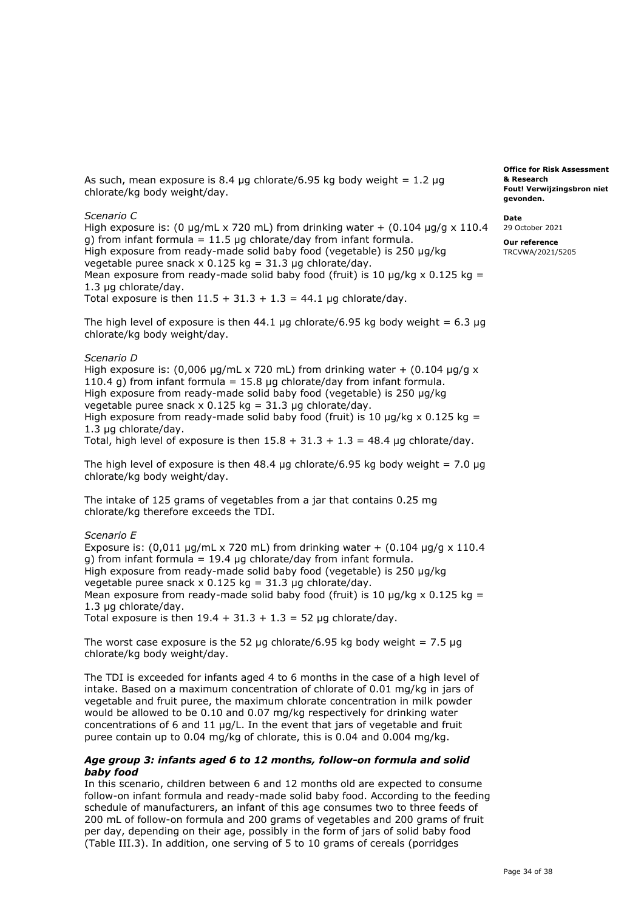As such, mean exposure is 8.4  $\mu$ g [chlorate/6.95](https://chlorate/6.95) kg body weight = 1.2  $\mu$ g chlorate/kg body weight/day.

#### *Scenario C*

High exposure is: (0  $\mu$ g/mL x 720 mL) from drinking water + (0.104  $\mu$ g/g x 110.4 g) from infant formula = 11.5 µg chlorate/day from infant formula. High exposure from ready-made solid baby food (vegetable) is 250 µg/kg vegetable puree snack  $\times$  0.125 kg = 31.3 µg chlorate/day. Mean exposure from ready-made solid baby food (fruit) is 10  $\mu$ g/kg x 0.125 kg = Total exposure is then  $11.5 + 31.3 + 1.3 = 44.1$  µg chlorate/day. 1.3 µg chlorate/day.

The high level of exposure is then  $44.1 \mu$ g [chlorate/6.95](https://chlorate/6.95) kg body weight = 6.3  $\mu$ g chlorate/kg body weight/day.

#### *Scenario D*

High exposure is: (0,006  $\mu$ g/mL x 720 mL) from drinking water + (0.104  $\mu$ g/g x 110.4 g) from infant formula = 15.8 µg chlorate/day from infant formula. High exposure from ready-made solid baby food (vegetable) is 250 µg/kg vegetable puree snack  $\times$  0.125 kg = 31.3 µg chlorate/day. High exposure from ready-made solid baby food (fruit) is 10  $\mu$ g/kg x 0.125 kg = 1.3 µg chlorate/day.

Total, high level of exposure is then  $15.8 + 31.3 + 1.3 = 48.4$  µg chlorate/day.

The high level of exposure is then 48.4  $\mu$ g [chlorate/6.95](https://chlorate/6.95) kg body weight = 7.0  $\mu$ g chlorate/kg body weight/day.

 The intake of 125 grams of vegetables from a jar that contains 0.25 mg chlorate/kg therefore exceeds the TDI.

#### *Scenario E*

Exposure is:  $(0,011 \mu g/mL \times 720 \mu)$  from drinking water +  $(0.104 \mu g/g \times 110.4 \mu)$  g) from infant formula = 19.4 µg chlorate/day from infant formula. High exposure from ready-made solid baby food (vegetable) is 250 µg/kg vegetable puree snack  $\times$  0.125 kg = 31.3 µg chlorate/day. Mean exposure from ready-made solid baby food (fruit) is 10  $\mu$ g/kg x 0.125 kg = Total exposure is then  $19.4 + 31.3 + 1.3 = 52 \mu g$  chlorate/day. 1.3 µg chlorate/day.

The worst case exposure is the 52  $\mu$ g [chlorate/6.95](https://chlorate/6.95) kg body weight = 7.5  $\mu$ g chlorate/kg body weight/day.

 The TDI is exceeded for infants aged 4 to 6 months in the case of a high level of intake. Based on a maximum concentration of chlorate of 0.01 mg/kg in jars of vegetable and fruit puree, the maximum chlorate concentration in milk powder would be allowed to be 0.10 and 0.07 mg/kg respectively for drinking water concentrations of 6 and 11 µg/L. In the event that jars of vegetable and fruit puree contain up to 0.04 mg/kg of chlorate, this is 0.04 and 0.004 mg/kg.

## *Age group 3: infants aged 6 to 12 months, follow-on formula and solid baby food*

 In this scenario, children between 6 and 12 months old are expected to consume follow-on infant formula and ready-made solid baby food. According to the feeding schedule of manufacturers, an infant of this age consumes two to three feeds of 200 mL of follow-on formula and 200 grams of vegetables and 200 grams of fruit per day, depending on their age, possibly in the form of jars of solid baby food (Table III.3). In addition, one serving of 5 to 10 grams of cereals (porridges

 **Fout! Verwijzingsbron niet Office for Risk Assessment & Research gevonden.** 

**Date** 

29 October 2021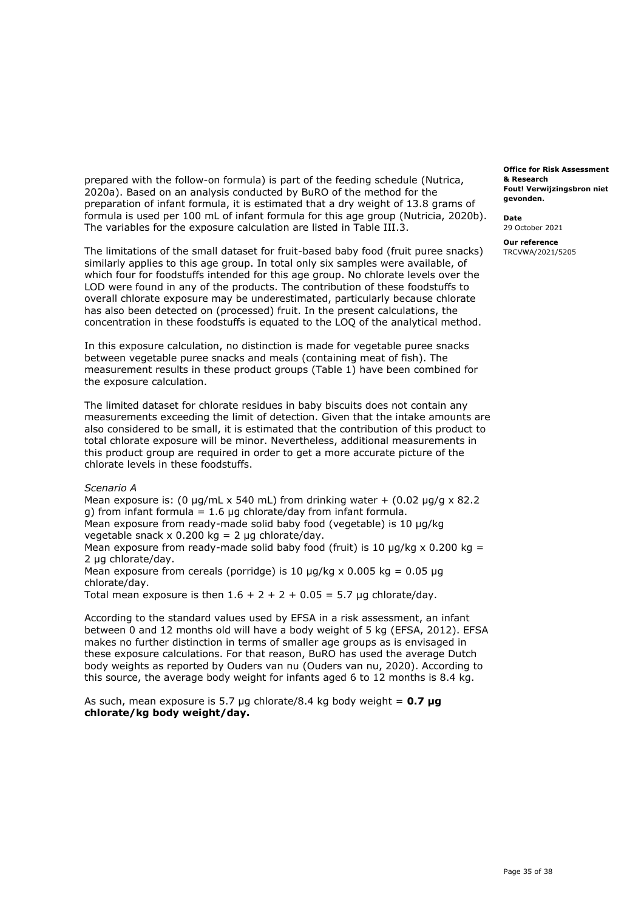prepared with the follow-on formula) is part of the feeding schedule (Nutrica, 2020a). Based on an analysis conducted by BuRO of the method for the preparation of infant formula, it is estimated that a dry weight of 13.8 grams of formula is used per 100 mL of infant formula for this age group (Nutricia, 2020b). The variables for the exposure calculation are listed in Table III.3.

 The limitations of the small dataset for fruit-based baby food (fruit puree snacks) similarly applies to this age group. In total only six samples were available, of which four for foodstuffs intended for this age group. No chlorate levels over the LOD were found in any of the products. The contribution of these foodstuffs to overall chlorate exposure may be underestimated, particularly because chlorate has also been detected on (processed) fruit. In the present calculations, the concentration in these foodstuffs is equated to the LOQ of the analytical method.

 In this exposure calculation, no distinction is made for vegetable puree snacks between vegetable puree snacks and meals (containing meat of fish). The measurement results in these product groups (Table 1) have been combined for the exposure calculation.

 The limited dataset for chlorate residues in baby biscuits does not contain any measurements exceeding the limit of detection. Given that the intake amounts are also considered to be small, it is estimated that the contribution of this product to total chlorate exposure will be minor. Nevertheless, additional measurements in this product group are required in order to get a more accurate picture of the chlorate levels in these foodstuffs.

#### *Scenario A*

Mean exposure is:  $(0 \mu g/mL \times 540 \mu L)$  from drinking water  $+ (0.02 \mu g/g \times 82.2 \mu L)$ g) from infant formula =  $1.6 \mu$ g chlorate/day from infant formula. Mean exposure from ready-made solid baby food (vegetable) is 10 µg/kg vegetable snack x 0.200 kg = 2 µg chlorate/day.

Mean exposure from ready-made solid baby food (fruit) is 10  $\mu$ g/kg x 0.200 kg = 2 ug chlorate/day.

Mean exposure from cereals (porridge) is 10  $\mu$ g/kg x 0.005 kg = 0.05  $\mu$ g chlorate/day.

Total mean exposure is then  $1.6 + 2 + 2 + 0.05 = 5.7$  µg chlorate/day.

 According to the standard values used by EFSA in a risk assessment, an infant between 0 and 12 months old will have a body weight of 5 kg (EFSA, 2012). EFSA makes no further distinction in terms of smaller age groups as is envisaged in these exposure calculations. For that reason, BuRO has used the average Dutch body weights as reported by Ouders van nu (Ouders van nu, 2020). According to this source, the average body weight for infants aged 6 to 12 months is 8.4 kg.

 As such, mean exposure is 5.7 µg chlorate/8.4 kg body weight = **0.7 µg chlorate/kg body weight/day.** 

 **Fout! Verwijzingsbron niet Office for Risk Assessment & Research gevonden.** 

**Date** 

29 October 2021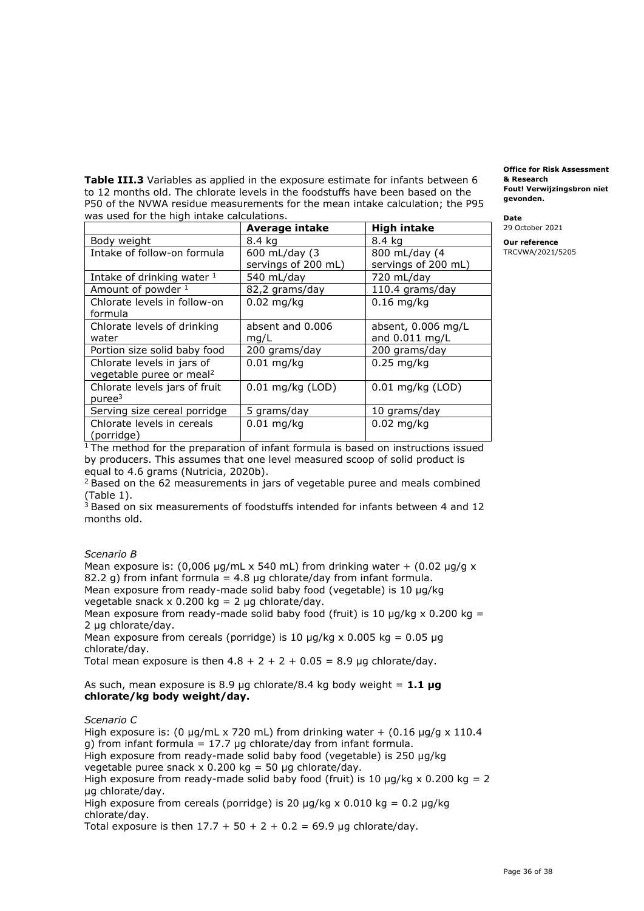**Table III.3** Variables as applied in the exposure estimate for infants between 6 to 12 months old. The chlorate levels in the foodstuffs have been based on the **gevonden.** P50 of the NVWA residue measurements for the mean intake calculation; the P95 was used for the high intake calculations. **Date** 

|                                      | <b>Average intake</b> | <b>High intake</b>  |
|--------------------------------------|-----------------------|---------------------|
| Body weight                          | 8.4 kg                | 8.4 kg              |
| Intake of follow-on formula          | 600 mL/day (3)        | 800 mL/day (4       |
|                                      | servings of 200 mL)   | servings of 200 mL) |
| Intake of drinking water 1           | 540 mL/day            | 720 mL/day          |
| Amount of powder 1                   | 82,2 grams/day        | 110.4 grams/day     |
| Chlorate levels in follow-on         | $0.02$ mg/kg          | $0.16$ mg/kg        |
| formula                              |                       |                     |
| Chlorate levels of drinking          | absent and 0.006      | absent, 0.006 mg/L  |
| water                                | mq/L                  | and 0.011 mg/L      |
| Portion size solid baby food         | 200 grams/day         | 200 grams/day       |
| Chlorate levels in jars of           | $0.01$ mg/kg          | $0.25$ mg/kg        |
| vegetable puree or meal <sup>2</sup> |                       |                     |
| Chlorate levels jars of fruit        | 0.01 mg/kg (LOD)      | $0.01$ mg/kg (LOD)  |
| pure <sup>3</sup>                    |                       |                     |
| Serving size cereal porridge         | 5 grams/day           | 10 grams/day        |
| Chlorate levels in cereals           | $0.01$ mg/kg          | $0.02$ mg/kg        |
| (porridge)                           |                       |                     |

 **Fout! Verwijzingsbron niet Office for Risk Assessment & Research** 

29 October 2021

**Our reference**  TRCVWA/2021/5205

 $1$  The method for the preparation of infant formula is based on instructions issued by producers. This assumes that one level measured scoop of solid product is equal to 4.6 grams (Nutricia, 2020b). equal to 4.6 grams (Nutricia, 2020b).<br><sup>2</sup> Based on the 62 measurements in jars of vegetable puree and meals combined

(Table 1).

 $3$  Based on six measurements of foodstuffs intended for infants between 4 and 12 months old.

## *Scenario B*

Mean exposure is:  $(0,006 \text{ µg/mL} \times 540 \text{ mL})$  from drinking water  $+ (0.02 \text{ µg/g} \times 10^{-10} \text{ mJ})$ 82.2 g) from infant formula = 4.8  $\mu$ g chlorate/day from infant formula. Mean exposure from ready-made solid baby food (vegetable) is 10 µg/kg vegetable snack x 0.200 kg = 2 µg chlorate/day. Mean exposure from ready-made solid baby food (fruit) is 10  $\mu$ g/kg x 0.200 kg = 2 µg chlorate/day.

Mean exposure from cereals (porridge) is 10  $\mu$ g/kg x 0.005 kg = 0.05  $\mu$ g chlorate/day.

Total mean exposure is then  $4.8 + 2 + 2 + 0.05 = 8.9$  µg chlorate/day.

## As such, mean exposure is 8.9 µg chlorate/8.4 kg body weight = **1.1 µg chlorate/kg body weight/day.**

*Scenario C* 

High exposure is: (0  $\mu$ g/mL x 720 mL) from drinking water + (0.16  $\mu$ g/g x 110.4 g) from infant formula = 17.7  $\mu$ g chlorate/day from infant formula. High exposure from ready-made solid baby food (vegetable) is 250 µg/kg vegetable puree snack  $\times$  0.200 kg = 50 µg chlorate/day. High exposure from ready-made solid baby food (fruit) is 10  $\mu$ g/kg x 0.200 kg = 2 High exposure from cereals (porridge) is 20  $\mu$ g/kg x 0.010 kg = 0.2  $\mu$ g/kg Total exposure is then  $17.7 + 50 + 2 + 0.2 = 69.9$  µg chlorate/day. µg chlorate/day. chlorate/day.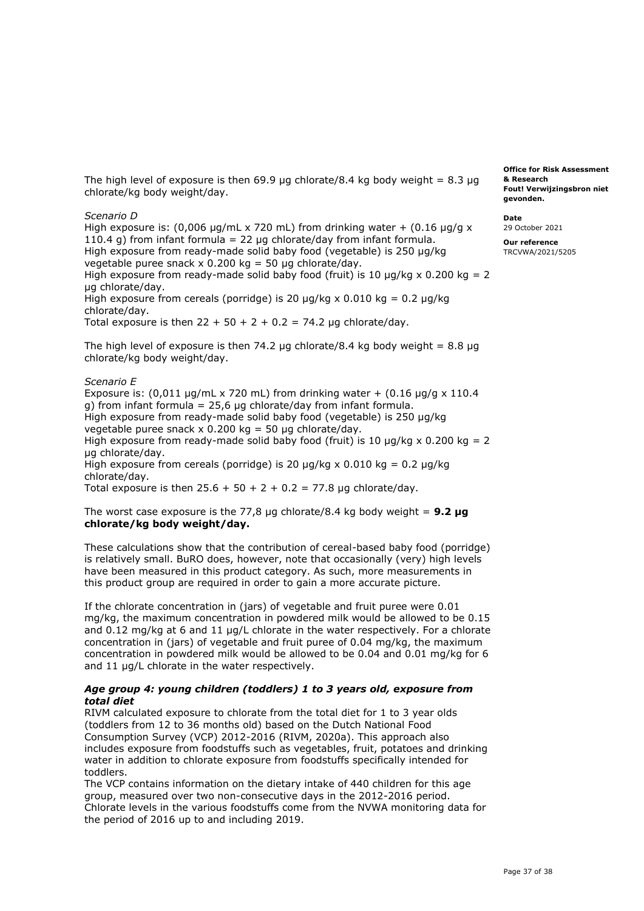The high level of exposure is then 69.9 µg chlorate/8.4 kg body weight  $= 8.3 \mu g$ chlorate/kg body weight/day.

#### *Scenario D*

High exposure is:  $(0,006 \text{ µg/mL} \times 720 \text{ mL})$  from drinking water +  $(0.16 \text{ µg/g} \times$ 110.4 g) from infant formula = 22  $\mu$ g chlorate/day from infant formula. High exposure from ready-made solid baby food (vegetable) is 250 µg/kg vegetable puree snack  $\times$  0.200 kg = 50 µg chlorate/day.

High exposure from ready-made solid baby food (fruit) is 10  $\mu$ g/kg x 0.200 kg = 2 µg chlorate/day.

High exposure from cereals (porridge) is 20  $\mu$ g/kg x 0.010 kg = 0.2  $\mu$ g/kg chlorate/day.

Total exposure is then  $22 + 50 + 2 + 0.2 = 74.2$  µg chlorate/day.

The high level of exposure is then 74.2  $\mu$ g chlorate/8.4 kg body weight = 8.8  $\mu$ g chlorate/kg body weight/day.

## *Scenario E*

Exposure is:  $(0.011 \text{ µg/mL} \times 720 \text{ mL})$  from drinking water +  $(0.16 \text{ µg/g} \times 110.4 \text{ m})$  g) from infant formula = 25,6 µg chlorate/day from infant formula. High exposure from ready-made solid baby food (vegetable) is 250 µg/kg vegetable puree snack x 0.200 kg = 50 µg chlorate/day. High exposure from ready-made solid baby food (fruit) is 10  $\mu$ g/kg x 0.200 kg = 2 High exposure from cereals (porridge) is 20  $\mu$ g/kg x 0.010 kg = 0.2  $\mu$ g/kg µg chlorate/day. chlorate/day.

Total exposure is then  $25.6 + 50 + 2 + 0.2 = 77.8$  µg chlorate/day.

## The worst case exposure is the 77,8 µg chlorate/8.4 kg body weight = **9.2 µg chlorate/kg body weight/day.**

 These calculations show that the contribution of cereal-based baby food (porridge) is relatively small. BuRO does, however, note that occasionally (very) high levels have been measured in this product category. As such, more measurements in this product group are required in order to gain a more accurate picture.

 If the chlorate concentration in (jars) of vegetable and fruit puree were 0.01 mg/kg, the maximum concentration in powdered milk would be allowed to be 0.15 and 0.12 mg/kg at 6 and 11 µg/L chlorate in the water respectively. For a chlorate concentration in (jars) of vegetable and fruit puree of 0.04 mg/kg, the maximum concentration in powdered milk would be allowed to be 0.04 and 0.01 mg/kg for 6 and 11 µg/L chlorate in the water respectively.

## *Age group 4: young children (toddlers) 1 to 3 years old, exposure from total diet*

 RIVM calculated exposure to chlorate from the total diet for 1 to 3 year olds (toddlers from 12 to 36 months old) based on the Dutch National Food Consumption Survey (VCP) 2012-2016 (RIVM, 2020a). This approach also includes exposure from foodstuffs such as vegetables, fruit, potatoes and drinking water in addition to chlorate exposure from foodstuffs specifically intended for toddlers.

 The VCP contains information on the dietary intake of 440 children for this age group, measured over two non-consecutive days in the 2012-2016 period. Chlorate levels in the various foodstuffs come from the NVWA monitoring data for the period of 2016 up to and including 2019.

 **Fout! Verwijzingsbron niet Office for Risk Assessment & Research gevonden.** 

**Date**  29 October 2021